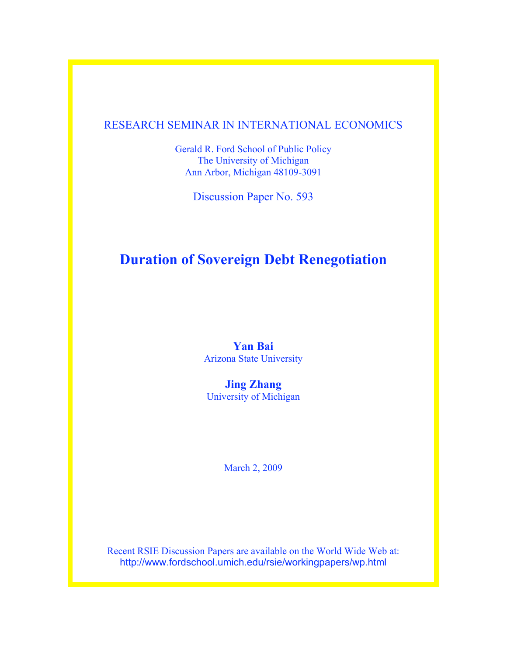# RESEARCH SEMINAR IN INTERNATIONAL ECONOMICS

Gerald R. Ford School of Public Policy The University of Michigan Ann Arbor, Michigan 48109-3091

Discussion Paper No. 593

# **Duration of Sovereign Debt Renegotiation**

# **Yan Bai** Arizona State University

**Jing Zhang** University of Michigan

March 2, 2009

Recent RSIE Discussion Papers are available on the World Wide Web at: http://www.fordschool.umich.edu/rsie/workingpapers/wp.html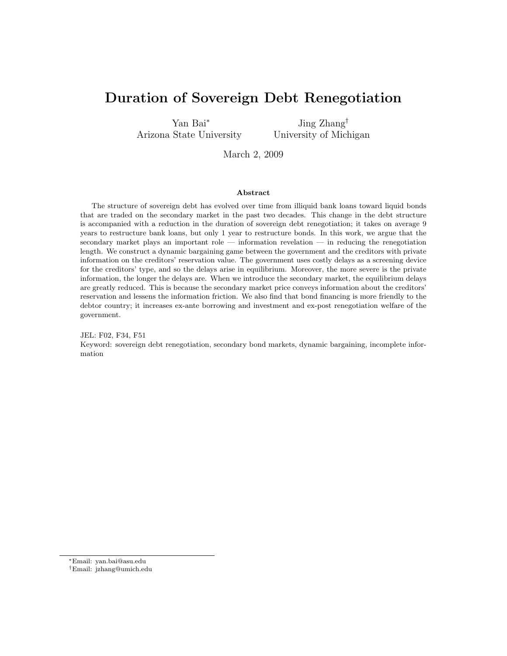# Duration of Sovereign Debt Renegotiation

Yan Bai<sup>∗</sup> Arizona State University

Jing Zhang† University of Michigan

March 2, 2009

#### Abstract

The structure of sovereign debt has evolved over time from illiquid bank loans toward liquid bonds that are traded on the secondary market in the past two decades. This change in the debt structure is accompanied with a reduction in the duration of sovereign debt renegotiation; it takes on average 9 years to restructure bank loans, but only 1 year to restructure bonds. In this work, we argue that the secondary market plays an important role — information revelation — in reducing the renegotiation length. We construct a dynamic bargaining game between the government and the creditors with private information on the creditors' reservation value. The government uses costly delays as a screening device for the creditors' type, and so the delays arise in equilibrium. Moreover, the more severe is the private information, the longer the delays are. When we introduce the secondary market, the equilibrium delays are greatly reduced. This is because the secondary market price conveys information about the creditors' reservation and lessens the information friction. We also find that bond financing is more friendly to the debtor country; it increases ex-ante borrowing and investment and ex-post renegotiation welfare of the government.

JEL: F02, F34, F51 Keyword: sovereign debt renegotiation, secondary bond markets, dynamic bargaining, incomplete information

<sup>∗</sup>Email: yan.bai@asu.edu

<sup>†</sup>Email: jzhang@umich.edu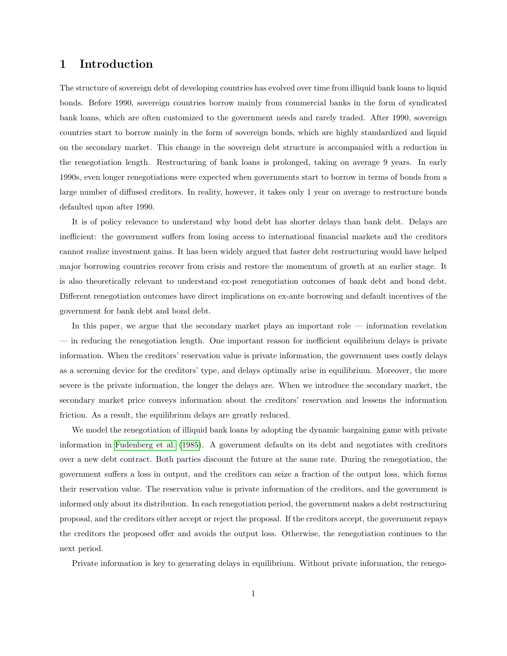## 1 Introduction

The structure of sovereign debt of developing countries has evolved over time from illiquid bank loans to liquid bonds. Before 1990, sovereign countries borrow mainly from commercial banks in the form of syndicated bank loans, which are often customized to the government needs and rarely traded. After 1990, sovereign countries start to borrow mainly in the form of sovereign bonds, which are highly standardized and liquid on the secondary market. This change in the sovereign debt structure is accompanied with a reduction in the renegotiation length. Restructuring of bank loans is prolonged, taking on average 9 years. In early 1990s, even longer renegotiations were expected when governments start to borrow in terms of bonds from a large number of diffused creditors. In reality, however, it takes only 1 year on average to restructure bonds defaulted upon after 1990.

It is of policy relevance to understand why bond debt has shorter delays than bank debt. Delays are inefficient: the government suffers from losing access to international financial markets and the creditors cannot realize investment gains. It has been widely argued that faster debt restructuring would have helped major borrowing countries recover from crisis and restore the momentum of growth at an earlier stage. It is also theoretically relevant to understand ex-post renegotiation outcomes of bank debt and bond debt. Different renegotiation outcomes have direct implications on ex-ante borrowing and default incentives of the government for bank debt and bond debt.

In this paper, we argue that the secondary market plays an important role — information revelation — in reducing the renegotiation length. One important reason for inefficient equilibrium delays is private information. When the creditors' reservation value is private information, the government uses costly delays as a screening device for the creditors' type, and delays optimally arise in equilibrium. Moreover, the more severe is the private information, the longer the delays are. When we introduce the secondary market, the secondary market price conveys information about the creditors' reservation and lessens the information friction. As a result, the equilibrium delays are greatly reduced.

We model the renegotiation of illiquid bank loans by adopting the dynamic bargaining game with private information in [Fudenberg et al.](#page-23-0) [\(1985\)](#page-23-0). A government defaults on its debt and negotiates with creditors over a new debt contract. Both parties discount the future at the same rate. During the renegotiation, the government suffers a loss in output, and the creditors can seize a fraction of the output loss, which forms their reservation value. The reservation value is private information of the creditors, and the government is informed only about its distribution. In each renegotiation period, the government makes a debt restructuring proposal, and the creditors either accept or reject the proposal. If the creditors accept, the government repays the creditors the proposed offer and avoids the output loss. Otherwise, the renegotiation continues to the next period.

Private information is key to generating delays in equilibrium. Without private information, the renego-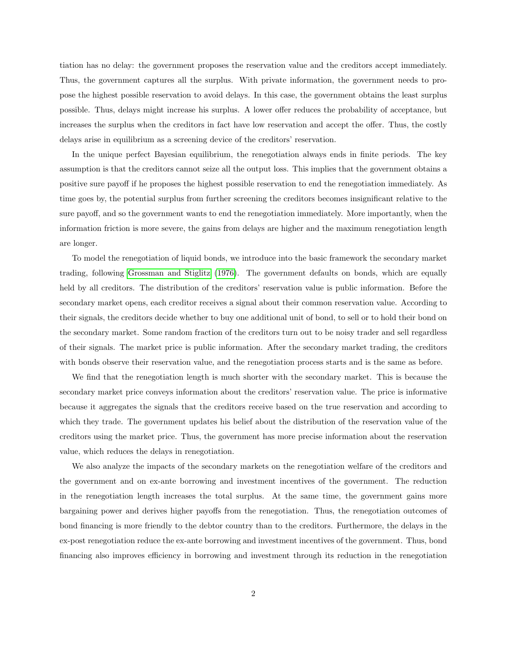tiation has no delay: the government proposes the reservation value and the creditors accept immediately. Thus, the government captures all the surplus. With private information, the government needs to propose the highest possible reservation to avoid delays. In this case, the government obtains the least surplus possible. Thus, delays might increase his surplus. A lower offer reduces the probability of acceptance, but increases the surplus when the creditors in fact have low reservation and accept the offer. Thus, the costly delays arise in equilibrium as a screening device of the creditors' reservation.

In the unique perfect Bayesian equilibrium, the renegotiation always ends in finite periods. The key assumption is that the creditors cannot seize all the output loss. This implies that the government obtains a positive sure payoff if he proposes the highest possible reservation to end the renegotiation immediately. As time goes by, the potential surplus from further screening the creditors becomes insignificant relative to the sure payoff, and so the government wants to end the renegotiation immediately. More importantly, when the information friction is more severe, the gains from delays are higher and the maximum renegotiation length are longer.

To model the renegotiation of liquid bonds, we introduce into the basic framework the secondary market trading, following [Grossman and Stiglitz](#page-23-1) [\(1976\)](#page-23-1). The government defaults on bonds, which are equally held by all creditors. The distribution of the creditors' reservation value is public information. Before the secondary market opens, each creditor receives a signal about their common reservation value. According to their signals, the creditors decide whether to buy one additional unit of bond, to sell or to hold their bond on the secondary market. Some random fraction of the creditors turn out to be noisy trader and sell regardless of their signals. The market price is public information. After the secondary market trading, the creditors with bonds observe their reservation value, and the renegotiation process starts and is the same as before.

We find that the renegotiation length is much shorter with the secondary market. This is because the secondary market price conveys information about the creditors' reservation value. The price is informative because it aggregates the signals that the creditors receive based on the true reservation and according to which they trade. The government updates his belief about the distribution of the reservation value of the creditors using the market price. Thus, the government has more precise information about the reservation value, which reduces the delays in renegotiation.

We also analyze the impacts of the secondary markets on the renegotiation welfare of the creditors and the government and on ex-ante borrowing and investment incentives of the government. The reduction in the renegotiation length increases the total surplus. At the same time, the government gains more bargaining power and derives higher payoffs from the renegotiation. Thus, the renegotiation outcomes of bond financing is more friendly to the debtor country than to the creditors. Furthermore, the delays in the ex-post renegotiation reduce the ex-ante borrowing and investment incentives of the government. Thus, bond financing also improves efficiency in borrowing and investment through its reduction in the renegotiation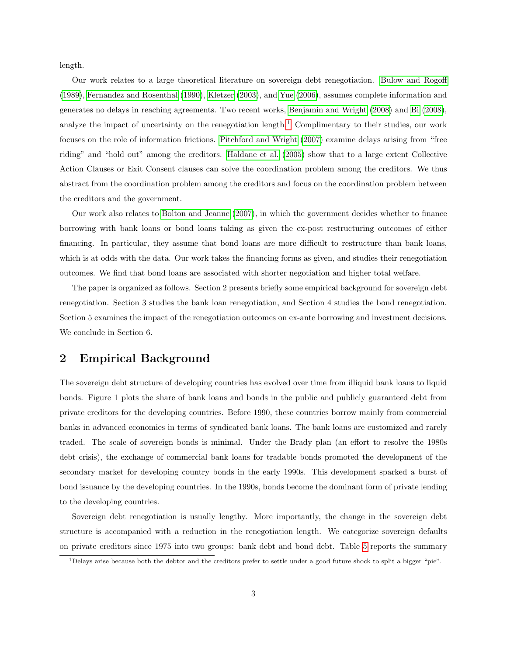length.

Our work relates to a large theoretical literature on sovereign debt renegotiation. [Bulow and Rogoff](#page-23-2) [\(1989\)](#page-23-2), [Fernandez and Rosenthal](#page-23-3) [\(1990\)](#page-23-3), [Kletzer](#page-23-4) [\(2003\)](#page-23-4), and [Yue](#page-23-5) [\(2006\)](#page-23-5), assumes complete information and generates no delays in reaching agreements. Two recent works, [Benjamin and Wright](#page-23-6) [\(2008\)](#page-23-6) and [Bi](#page-23-7) [\(2008\)](#page-23-7), analyze the impact of uncertainty on the renegotiation length.<sup>[1](#page-4-0)</sup> Complimentary to their studies, our work focuses on the role of information frictions. [Pitchford and Wright](#page-23-8) [\(2007\)](#page-23-8) examine delays arising from "free riding" and "hold out" among the creditors. [Haldane et al.](#page-23-9) [\(2005\)](#page-23-9) show that to a large extent Collective Action Clauses or Exit Consent clauses can solve the coordination problem among the creditors. We thus abstract from the coordination problem among the creditors and focus on the coordination problem between the creditors and the government.

Our work also relates to [Bolton and Jeanne](#page-23-10) [\(2007\)](#page-23-10), in which the government decides whether to finance borrowing with bank loans or bond loans taking as given the ex-post restructuring outcomes of either financing. In particular, they assume that bond loans are more difficult to restructure than bank loans, which is at odds with the data. Our work takes the financing forms as given, and studies their renegotiation outcomes. We find that bond loans are associated with shorter negotiation and higher total welfare.

The paper is organized as follows. Section 2 presents briefly some empirical background for sovereign debt renegotiation. Section 3 studies the bank loan renegotiation, and Section 4 studies the bond renegotiation. Section 5 examines the impact of the renegotiation outcomes on ex-ante borrowing and investment decisions. We conclude in Section 6.

# 2 Empirical Background

The sovereign debt structure of developing countries has evolved over time from illiquid bank loans to liquid bonds. Figure 1 plots the share of bank loans and bonds in the public and publicly guaranteed debt from private creditors for the developing countries. Before 1990, these countries borrow mainly from commercial banks in advanced economies in terms of syndicated bank loans. The bank loans are customized and rarely traded. The scale of sovereign bonds is minimal. Under the Brady plan (an effort to resolve the 1980s debt crisis), the exchange of commercial bank loans for tradable bonds promoted the development of the secondary market for developing country bonds in the early 1990s. This development sparked a burst of bond issuance by the developing countries. In the 1990s, bonds become the dominant form of private lending to the developing countries.

Sovereign debt renegotiation is usually lengthy. More importantly, the change in the sovereign debt structure is accompanied with a reduction in the renegotiation length. We categorize sovereign defaults on private creditors since 1975 into two groups: bank debt and bond debt. Table [5](#page-25-0) reports the summary

<span id="page-4-0"></span><sup>1</sup>Delays arise because both the debtor and the creditors prefer to settle under a good future shock to split a bigger "pie".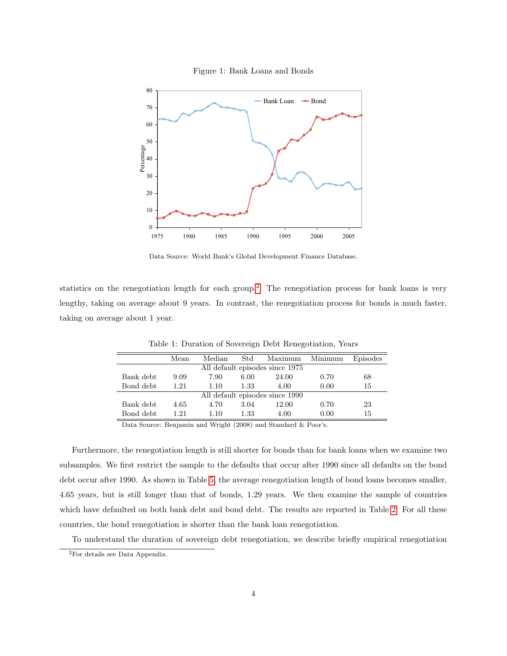



Data Source: World Bank's Global Development Finance Database.

statistics on the renegotiation length for each group.<sup>[2](#page-5-0)</sup> The renegotiation process for bank loans is very lengthy, taking on average about 9 years. In contrast, the renegotiation process for bonds is much faster, taking on average about 1 year.

|                                 | Mean | Median | Std  | Maximum | Minimum | Episodes |  |  |  |  |
|---------------------------------|------|--------|------|---------|---------|----------|--|--|--|--|
| All default episodes since 1975 |      |        |      |         |         |          |  |  |  |  |
| Bank debt                       | 9.09 | 7.90   | 6.00 | 24.00   | 0.70    | 68       |  |  |  |  |
| Bond debt                       | 1.21 | 1.10   | 1.33 | 4.00    | 0.00    | 15       |  |  |  |  |
| All default episodes since 1990 |      |        |      |         |         |          |  |  |  |  |
| Bank debt                       | 4.65 | 4.70   | 3.04 | 12.00   | 0.70    | 23       |  |  |  |  |
| Bond debt                       | 1.21 | 1.10   | 1.33 | 4.00    | 0.00    | 15       |  |  |  |  |

Table 1: Duration of Sovereign Debt Renegotiation, Years

Data Source: Benjamin and Wright (2008) and Standard & Poor's.

Furthermore, the renegotiation length is still shorter for bonds than for bank loans when we examine two subsamples. We first restrict the sample to the defaults that occur after 1990 since all defaults on the bond debt occur after 1990. As shown in Table [5,](#page-25-0) the average renegotiation length of bond loans becomes smaller, 4.65 years, but is still longer than that of bonds, 1.29 years. We then examine the sample of countries which have defaulted on both bank debt and bond debt. The results are reported in Table [2.](#page-6-0) For all these countries, the bond renegotiation is shorter than the bank loan renegotiation.

To understand the duration of sovereign debt renegotiation, we describe briefly empirical renegotiation

<span id="page-5-0"></span><sup>2</sup>For details see Data Appendix.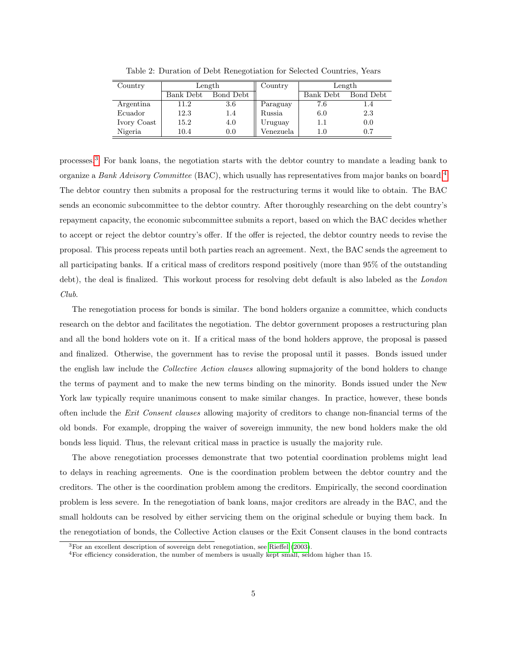| Country     |           | Length    | Country   | Length    |           |  |
|-------------|-----------|-----------|-----------|-----------|-----------|--|
|             | Bank Debt | Bond Debt |           | Bank Debt | Bond Debt |  |
| Argentina   | 11.2      | 3.6       | Paraguay  | 7.6       | 1.4       |  |
| Ecuador     | 12.3      | 1.4       | Russia    | 6.0       | 2.3       |  |
| Ivory Coast | 15.2      | 4.0       | Uruguay   | 1.1       | 0.0       |  |
| Nigeria     | 10.4      | 0.0       | Venezuela | 1.0       | 0.7       |  |

<span id="page-6-0"></span>Table 2: Duration of Debt Renegotiation for Selected Countries, Years

processes.[3](#page-6-1) For bank loans, the negotiation starts with the debtor country to mandate a leading bank to organize a Bank Advisory Committee (BAC), which usually has representatives from major banks on board.<sup>[4](#page-6-2)</sup> The debtor country then submits a proposal for the restructuring terms it would like to obtain. The BAC sends an economic subcommittee to the debtor country. After thoroughly researching on the debt country's repayment capacity, the economic subcommittee submits a report, based on which the BAC decides whether to accept or reject the debtor country's offer. If the offer is rejected, the debtor country needs to revise the proposal. This process repeats until both parties reach an agreement. Next, the BAC sends the agreement to all participating banks. If a critical mass of creditors respond positively (more than 95% of the outstanding debt), the deal is finalized. This workout process for resolving debt default is also labeled as the *London* Club.

The renegotiation process for bonds is similar. The bond holders organize a committee, which conducts research on the debtor and facilitates the negotiation. The debtor government proposes a restructuring plan and all the bond holders vote on it. If a critical mass of the bond holders approve, the proposal is passed and finalized. Otherwise, the government has to revise the proposal until it passes. Bonds issued under the english law include the Collective Action clauses allowing supmajority of the bond holders to change the terms of payment and to make the new terms binding on the minority. Bonds issued under the New York law typically require unanimous consent to make similar changes. In practice, however, these bonds often include the Exit Consent clauses allowing majority of creditors to change non-financial terms of the old bonds. For example, dropping the waiver of sovereign immunity, the new bond holders make the old bonds less liquid. Thus, the relevant critical mass in practice is usually the majority rule.

The above renegotiation processes demonstrate that two potential coordination problems might lead to delays in reaching agreements. One is the coordination problem between the debtor country and the creditors. The other is the coordination problem among the creditors. Empirically, the second coordination problem is less severe. In the renegotiation of bank loans, major creditors are already in the BAC, and the small holdouts can be resolved by either servicing them on the original schedule or buying them back. In the renegotiation of bonds, the Collective Action clauses or the Exit Consent clauses in the bond contracts

<span id="page-6-1"></span> ${}^{3}$ For an excellent description of sovereign debt renegotiation, see [Rieffel](#page-23-11) [\(2003\)](#page-23-11).

<span id="page-6-2"></span><sup>4</sup>For efficiency consideration, the number of members is usually kept small, seldom higher than 15.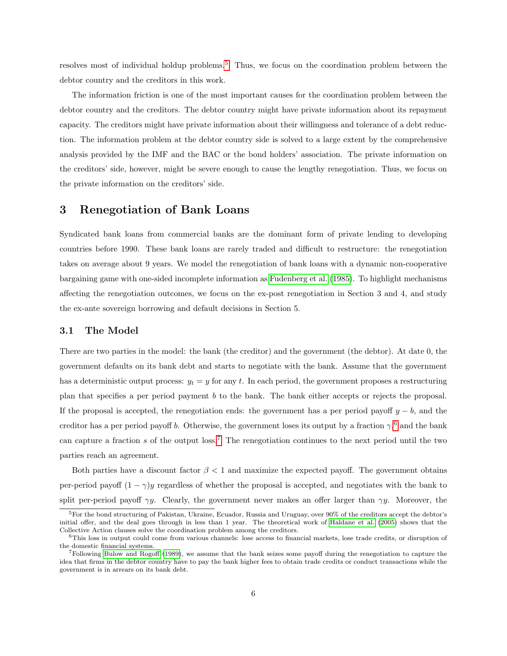resolves most of individual holdup problems.[5](#page-7-0) Thus, we focus on the coordination problem between the debtor country and the creditors in this work.

The information friction is one of the most important causes for the coordination problem between the debtor country and the creditors. The debtor country might have private information about its repayment capacity. The creditors might have private information about their willingness and tolerance of a debt reduction. The information problem at the debtor country side is solved to a large extent by the comprehensive analysis provided by the IMF and the BAC or the bond holders' association. The private information on the creditors' side, however, might be severe enough to cause the lengthy renegotiation. Thus, we focus on the private information on the creditors' side.

## 3 Renegotiation of Bank Loans

Syndicated bank loans from commercial banks are the dominant form of private lending to developing countries before 1990. These bank loans are rarely traded and difficult to restructure: the renegotiation takes on average about 9 years. We model the renegotiation of bank loans with a dynamic non-cooperative bargaining game with one-sided incomplete information as [Fudenberg et al.](#page-23-0) [\(1985\)](#page-23-0). To highlight mechanisms affecting the renegotiation outcomes, we focus on the ex-post renegotiation in Section 3 and 4, and study the ex-ante sovereign borrowing and default decisions in Section 5.

#### 3.1 The Model

There are two parties in the model: the bank (the creditor) and the government (the debtor). At date 0, the government defaults on its bank debt and starts to negotiate with the bank. Assume that the government has a deterministic output process:  $y_t = y$  for any t. In each period, the government proposes a restructuring plan that specifies a per period payment b to the bank. The bank either accepts or rejects the proposal. If the proposal is accepted, the renegotiation ends: the government has a per period payoff  $y - b$ , and the creditor has a per period payoff b. Otherwise, the government loses its output by a fraction  $\gamma$ <sup>[6](#page-7-1)</sup>, and the bank can capture a fraction  $s$  of the output loss.<sup>[7](#page-7-2)</sup> The renegotiation continues to the next period until the two parties reach an agreement.

Both parties have a discount factor  $\beta < 1$  and maximize the expected payoff. The government obtains per-period payoff  $(1 - \gamma)y$  regardless of whether the proposal is accepted, and negotiates with the bank to split per-period payoff  $\gamma y$ . Clearly, the government never makes an offer larger than  $\gamma y$ . Moreover, the

<span id="page-7-0"></span><sup>5</sup>For the bond structuring of Pakistan, Ukraine, Ecuador, Russia and Uruguay, over 90% of the creditors accept the debtor's initial offer, and the deal goes through in less than 1 year. The theoretical work of [Haldane et al.](#page-23-9) [\(2005\)](#page-23-9) shows that the Collective Action clauses solve the coordination problem among the creditors.

<span id="page-7-1"></span> $6$ This loss in output could come from various channels: lose access to financial markets, lose trade credits, or disruption of the domestic financial systems.

<span id="page-7-2"></span><sup>7</sup>Following [Bulow and Rogoff](#page-23-2) [\(1989\)](#page-23-2), we assume that the bank seizes some payoff during the renegotiation to capture the idea that firms in the debtor country have to pay the bank higher fees to obtain trade credits or conduct transactions while the government is in arrears on its bank debt.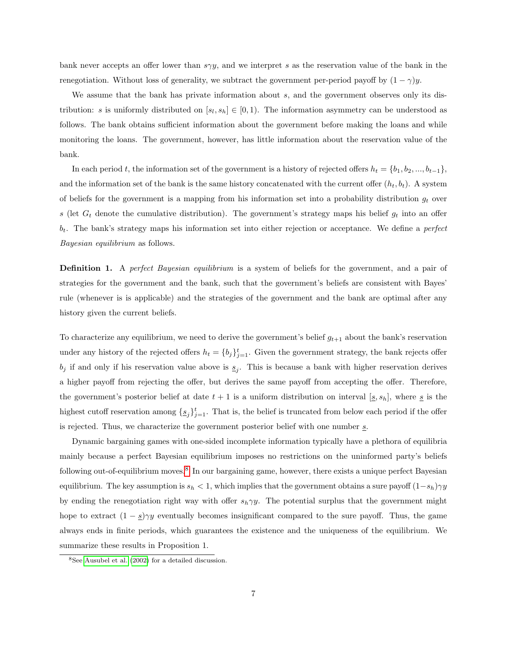bank never accepts an offer lower than  $s \gamma y$ , and we interpret s as the reservation value of the bank in the renegotiation. Without loss of generality, we subtract the government per-period payoff by  $(1 - \gamma)y$ .

We assume that the bank has private information about s, and the government observes only its distribution: s is uniformly distributed on  $[s_l, s_h] \in [0, 1)$ . The information asymmetry can be understood as follows. The bank obtains sufficient information about the government before making the loans and while monitoring the loans. The government, however, has little information about the reservation value of the bank.

In each period t, the information set of the government is a history of rejected offers  $h_t = \{b_1, b_2, ..., b_{t-1}\}\,$ and the information set of the bank is the same history concatenated with the current offer  $(h_t, b_t)$ . A system of beliefs for the government is a mapping from his information set into a probability distribution  $g_t$  over s (let  $G_t$  denote the cumulative distribution). The government's strategy maps his belief  $g_t$  into an offer  $b_t$ . The bank's strategy maps his information set into either rejection or acceptance. We define a *perfect* Bayesian equilibrium as follows.

**Definition 1.** A perfect Bayesian equilibrium is a system of beliefs for the government, and a pair of strategies for the government and the bank, such that the government's beliefs are consistent with Bayes' rule (whenever is is applicable) and the strategies of the government and the bank are optimal after any history given the current beliefs.

To characterize any equilibrium, we need to derive the government's belief  $g_{t+1}$  about the bank's reservation under any history of the rejected offers  $h_t = \{b_j\}_{j=1}^t$ . Given the government strategy, the bank rejects offer  $b_j$  if and only if his reservation value above is  $s_j$ . This is because a bank with higher reservation derives a higher payoff from rejecting the offer, but derives the same payoff from accepting the offer. Therefore, the government's posterior belief at date  $t + 1$  is a uniform distribution on interval  $[s, s_h]$ , where  $s$  is the highest cutoff reservation among  $\{s_j\}_{j=1}^t$ . That is, the belief is truncated from below each period if the offer is rejected. Thus, we characterize the government posterior belief with one number s.

Dynamic bargaining games with one-sided incomplete information typically have a plethora of equilibria mainly because a perfect Bayesian equilibrium imposes no restrictions on the uninformed party's beliefs following out-of-equilibrium moves.<sup>[8](#page-8-0)</sup> In our bargaining game, however, there exists a unique perfect Bayesian equilibrium. The key assumption is  $s_h < 1$ , which implies that the government obtains a sure payoff  $(1-s_h)\gamma y$ by ending the renegotiation right way with offer  $s_h \gamma y$ . The potential surplus that the government might hope to extract  $(1 - \underline{s})\gamma y$  eventually becomes insignificant compared to the sure payoff. Thus, the game always ends in finite periods, which guarantees the existence and the uniqueness of the equilibrium. We summarize these results in Proposition 1.

<span id="page-8-0"></span><sup>8</sup>See [Ausubel et al.](#page-23-12) [\(2002\)](#page-23-12) for a detailed discussion.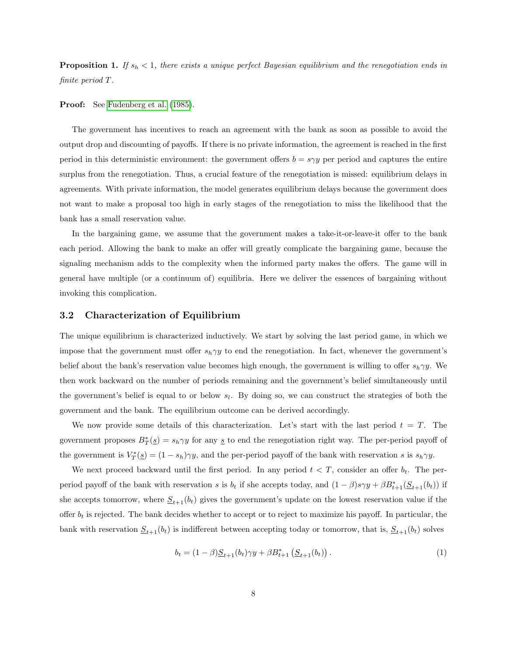**Proposition 1.** If  $s_h < 1$ , there exists a unique perfect Bayesian equilibrium and the renegotiation ends in finite period T.

Proof: See [Fudenberg et al.](#page-23-0) [\(1985\)](#page-23-0).

The government has incentives to reach an agreement with the bank as soon as possible to avoid the output drop and discounting of payoffs. If there is no private information, the agreement is reached in the first period in this deterministic environment: the government offers  $b = s \gamma y$  per period and captures the entire surplus from the renegotiation. Thus, a crucial feature of the renegotiation is missed: equilibrium delays in agreements. With private information, the model generates equilibrium delays because the government does not want to make a proposal too high in early stages of the renegotiation to miss the likelihood that the bank has a small reservation value.

In the bargaining game, we assume that the government makes a take-it-or-leave-it offer to the bank each period. Allowing the bank to make an offer will greatly complicate the bargaining game, because the signaling mechanism adds to the complexity when the informed party makes the offers. The game will in general have multiple (or a continuum of) equilibria. Here we deliver the essences of bargaining without invoking this complication.

## 3.2 Characterization of Equilibrium

The unique equilibrium is characterized inductively. We start by solving the last period game, in which we impose that the government must offer  $s_h \gamma y$  to end the renegotiation. In fact, whenever the government's belief about the bank's reservation value becomes high enough, the government is willing to offer  $s_h \gamma y$ . We then work backward on the number of periods remaining and the government's belief simultaneously until the government's belief is equal to or below  $s_l$ . By doing so, we can construct the strategies of both the government and the bank. The equilibrium outcome can be derived accordingly.

We now provide some details of this characterization. Let's start with the last period  $t = T$ . The government proposes  $B_T^*(s) = s_h \gamma y$  for any s to end the renegotiation right way. The per-period payoff of the government is  $V_T^*(\underline{s}) = (1 - s_h)\gamma y$ , and the per-period payoff of the bank with reservation s is  $s_h \gamma y$ .

We next proceed backward until the first period. In any period  $t < T$ , consider an offer  $b_t$ . The perperiod payoff of the bank with reservation s is  $b_t$  if she accepts today, and  $(1 - \beta)s_{\gamma}y + \beta B_{t+1}^*(S_{t+1}(b_t))$  if she accepts tomorrow, where  $\underline{S}_{t+1}(b_t)$  gives the government's update on the lowest reservation value if the offer  $b_t$  is rejected. The bank decides whether to accept or to reject to maximize his payoff. In particular, the bank with reservation  $\underline{S}_{t+1}(b_t)$  is indifferent between accepting today or tomorrow, that is,  $\underline{S}_{t+1}(b_t)$  solves

$$
b_t = (1 - \beta) \underline{S}_{t+1}(b_t) \gamma y + \beta B_{t+1}^* \left( \underline{S}_{t+1}(b_t) \right). \tag{1}
$$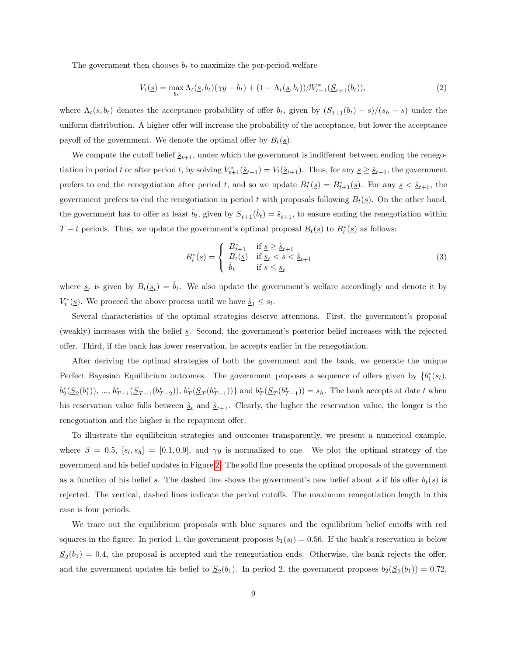The government then chooses  $b_t$  to maximize the per-period welfare

$$
V_t(\underline{s}) = \max_{b_t} \Lambda_t(\underline{s}, b_t)(\gamma y - b_t) + (1 - \Lambda_t(\underline{s}, b_t))\beta V_{t+1}^*(\underline{S}_{t+1}(b_t)),
$$
\n(2)

where  $\Lambda_t(\underline{s}, b_t)$  denotes the acceptance probability of offer  $b_t$ , given by  $(\underline{S}_{t+1}(b_t) - \underline{s})/(s_h - \underline{s})$  under the uniform distribution. A higher offer will increase the probability of the acceptance, but lower the acceptance payoff of the government. We denote the optimal offer by  $B_t(\underline{s})$ .

We compute the cutoff belief  $\hat{\underline{s}}_{t+1}$ , under which the government is indifferent between ending the renegotiation in period t or after period t, by solving  $V_{t+1}^*(\hat{\underline{s}}_{t+1}) = V_t(\hat{\underline{s}}_{t+1})$ . Thus, for any  $\underline{s} \geq \hat{\underline{s}}_{t+1}$ , the government prefers to end the renegotiation after period t, and so we update  $B_t^*(\underline{s}) = B_{t+1}^*(\underline{s})$ . For any  $\underline{s} < \hat{s}_{t+1}$ , the government prefers to end the renegotiation in period t with proposals following  $B_t(\underline{s})$ . On the other hand, the government has to offer at least  $\hat{b}_t$ , given by  $\underline{S}_{t+1}(\hat{b}_t) = \hat{\underline{s}}_{t+1}$ , to ensure ending the renegotiation within T – t periods. Thus, we update the government's optimal proposal  $B_t(\underline{s})$  to  $B_t^*(\underline{s})$  as follows:

$$
B_t^*(\underline{s}) = \begin{cases} B_{t+1}^* & \text{if } \underline{s} \ge \underline{\hat{s}}_{t+1} \\ B_t(\underline{s}) & \text{if } \underline{s}_t < s < \underline{\hat{s}}_{t+1} \\ \hat{b}_t & \text{if } s \le \underline{s}_t \end{cases} \tag{3}
$$

where  $s_t$  is given by  $B_t(s_t) = \hat{b}_t$ . We also update the government's welfare accordingly and denote it by  $V_t^*(\underline{s})$ . We proceed the above process until we have  $\underline{\hat{s}}_1 \leq s_l$ .

Several characteristics of the optimal strategies deserve attentions. First, the government's proposal (weakly) increases with the belief  $s$ . Second, the government's posterior belief increases with the rejected offer. Third, if the bank has lower reservation, he accepts earlier in the renegotiation.

After deriving the optimal strategies of both the government and the bank, we generate the unique Perfect Bayesian Equilibrium outcomes. The government proposes a sequence of offers given by  ${b_1^*(s_l)}$ ,  $b_2^*(S_2(b_1^*)), ..., b_{T-1}^*(S_{T-1}(b_{T-2}^*)), b_T^*(S_T(b_{T-1}^*))\}$  and  $b_T^*(S_T(b_{T-1}^*))=s_h$ . The bank accepts at date t when his reservation value falls between  $\hat{s}_t$  and  $\hat{s}_{t+1}$ . Clearly, the higher the reservation value, the longer is the renegotiation and the higher is the repayment offer.

To illustrate the equilibrium strategies and outcomes transparently, we present a numerical example, where  $\beta = 0.5$ ,  $[s_l, s_h] = [0.1, 0.9]$ , and  $\gamma y$  is normalized to one. We plot the optimal strategy of the government and his belief updates in Figure [2.](#page-11-0) The solid line presents the optimal proposals of the government as a function of his belief s. The dashed line shows the government's new belief about s if his offer  $b_t(s)$  is rejected. The vertical, dashed lines indicate the period cutoffs. The maximum renegotiation length in this case is four periods.

We trace out the equilibrium proposals with blue squares and the equilibrium belief cutoffs with red squares in the figure. In period 1, the government proposes  $b_1(s_i) = 0.56$ . If the bank's reservation is below  $S_2(b_1) = 0.4$ , the proposal is accepted and the renegotiation ends. Otherwise, the bank rejects the offer, and the government updates his belief to  $S_2(b_1)$ . In period 2, the government proposes  $b_2(S_2(b_1)) = 0.72$ ,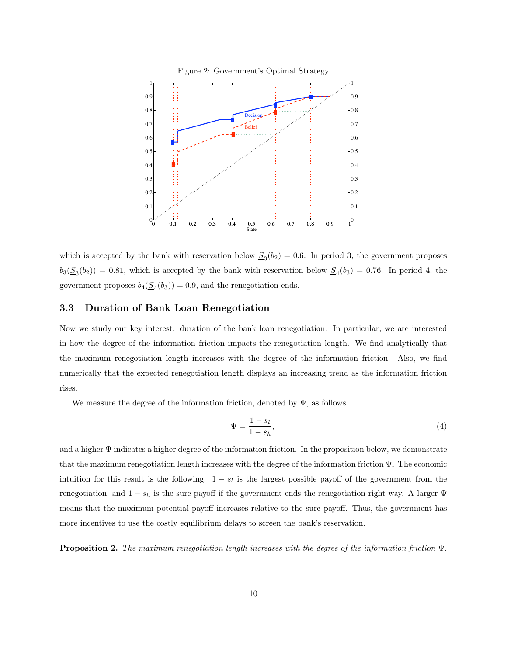<span id="page-11-0"></span>

which is accepted by the bank with reservation below  $S_3(b_2) = 0.6$ . In period 3, the government proposes  $b_3(\underline{S}_3(b_2)) = 0.81$ , which is accepted by the bank with reservation below  $\underline{S}_4(b_3) = 0.76$ . In period 4, the government proposes  $b_4(\underline{S}_4(b_3)) = 0.9$ , and the renegotiation ends.

#### 3.3 Duration of Bank Loan Renegotiation

Now we study our key interest: duration of the bank loan renegotiation. In particular, we are interested in how the degree of the information friction impacts the renegotiation length. We find analytically that the maximum renegotiation length increases with the degree of the information friction. Also, we find numerically that the expected renegotiation length displays an increasing trend as the information friction rises.

We measure the degree of the information friction, denoted by  $\Psi$ , as follows:

$$
\Psi = \frac{1 - s_l}{1 - s_h},\tag{4}
$$

and a higher Ψ indicates a higher degree of the information friction. In the proposition below, we demonstrate that the maximum renegotiation length increases with the degree of the information friction Ψ. The economic intuition for this result is the following.  $1 - s_l$  is the largest possible payoff of the government from the renegotiation, and  $1 - s_h$  is the sure payoff if the government ends the renegotiation right way. A larger  $\Psi$ means that the maximum potential payoff increases relative to the sure payoff. Thus, the government has more incentives to use the costly equilibrium delays to screen the bank's reservation.

**Proposition 2.** The maximum renegotiation length increases with the degree of the information friction  $\Psi$ .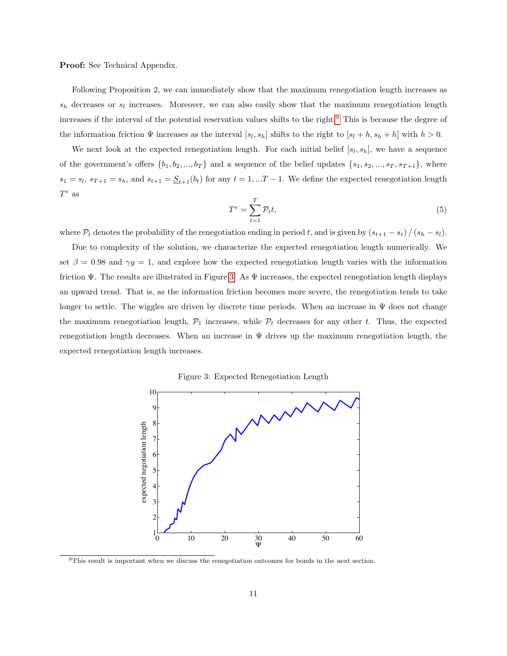Proof: See Technical Appendix.

Following Proposition 2, we can immediately show that the maximum renegotiation length increases as  $s_h$  decreases or  $s_l$  increases. Moreover, we can also easily show that the maximum renegotiation length increases if the interval of the potential reservation values shifts to the right.<sup>[9](#page-12-0)</sup> This is because the degree of the information friction  $\Psi$  increases as the interval  $[s_l, s_h]$  shifts to the right to  $[s_l + h, s_h + h]$  with  $h > 0$ .

We next look at the expected renegotiation length. For each initial belief  $[s_l, s_h]$ , we have a sequence of the government's offers  $\{b_1, b_2, ..., b_T\}$  and a sequence of the belief updates  $\{s_1, s_2, ..., s_T, s_{T+1}\}$ , where  $s_1 = s_l$ ,  $s_{T+1} = s_h$ , and  $s_{t+1} = \underline{S}_{t+1}(b_t)$  for any  $t = 1, ...T-1$ . We define the expected renegotiation length  $T^e$  as

$$
T^e = \sum_{t=1}^T \mathcal{P}_t t,\tag{5}
$$

where  $\mathcal{P}_t$  denotes the probability of the renegotiation ending in period t, and is given by  $(s_{t+1} - s_t) / (s_h - s_l)$ .

Due to complexity of the solution, we characterize the expected renegotiation length numerically. We set  $\beta = 0.98$  and  $\gamma y = 1$ , and explore how the expected renegotiation length varies with the information friction  $\Psi$ . The results are illustrated in Figure [3.](#page-12-1) As  $\Psi$  increases, the expected renegotiation length displays an upward trend. That is, as the information friction becomes more severe, the renegotiation tends to take longer to settle. The wiggles are driven by discrete time periods. When an increase in  $\Psi$  does not change the maximum renegotiation length,  $\mathcal{P}_1$  increases, while  $\mathcal{P}_t$  decreases for any other t. Thus, the expected renegotiation length decreases. When an increase in  $\Psi$  drives up the maximum renegotiation length, the expected renegotiation length increases.

<span id="page-12-1"></span>Figure 3: Expected Renegotiation Length



<span id="page-12-0"></span><sup>9</sup>This result is important when we discuss the renegotiation outcomes for bonds in the next section.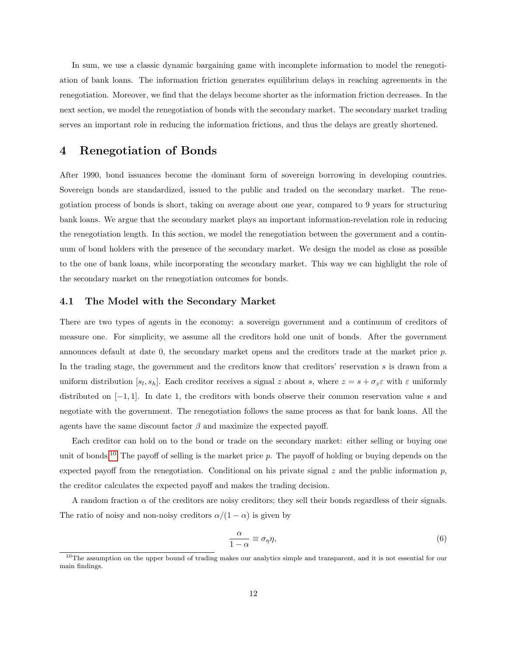In sum, we use a classic dynamic bargaining game with incomplete information to model the renegotiation of bank loans. The information friction generates equilibrium delays in reaching agreements in the renegotiation. Moreover, we find that the delays become shorter as the information friction decreases. In the next section, we model the renegotiation of bonds with the secondary market. The secondary market trading serves an important role in reducing the information frictions, and thus the delays are greatly shortened.

# 4 Renegotiation of Bonds

After 1990, bond issuances become the dominant form of sovereign borrowing in developing countries. Sovereign bonds are standardized, issued to the public and traded on the secondary market. The renegotiation process of bonds is short, taking on average about one year, compared to 9 years for structuring bank loans. We argue that the secondary market plays an important information-revelation role in reducing the renegotiation length. In this section, we model the renegotiation between the government and a continuum of bond holders with the presence of the secondary market. We design the model as close as possible to the one of bank loans, while incorporating the secondary market. This way we can highlight the role of the secondary market on the renegotiation outcomes for bonds.

#### 4.1 The Model with the Secondary Market

There are two types of agents in the economy: a sovereign government and a continuum of creditors of measure one. For simplicity, we assume all the creditors hold one unit of bonds. After the government announces default at date 0, the secondary market opens and the creditors trade at the market price p. In the trading stage, the government and the creditors know that creditors' reservation s is drawn from a uniform distribution  $[s_l, s_h]$ . Each creditor receives a signal z about s, where  $z = s + \sigma_z \varepsilon$  with  $\varepsilon$  uniformly distributed on  $[-1, 1]$ . In date 1, the creditors with bonds observe their common reservation value s and negotiate with the government. The renegotiation follows the same process as that for bank loans. All the agents have the same discount factor  $\beta$  and maximize the expected payoff.

Each creditor can hold on to the bond or trade on the secondary market: either selling or buying one unit of bonds.<sup>[10](#page-13-0)</sup> The payoff of selling is the market price  $p$ . The payoff of holding or buying depends on the expected payoff from the renegotiation. Conditional on his private signal z and the public information  $p$ , the creditor calculates the expected payoff and makes the trading decision.

A random fraction  $\alpha$  of the creditors are noisy creditors; they sell their bonds regardless of their signals. The ratio of noisy and non-noisy creditors  $\alpha/(1-\alpha)$  is given by

$$
\frac{\alpha}{1-\alpha} \equiv \sigma_{\eta}\eta,\tag{6}
$$

<span id="page-13-0"></span> $10$ The assumption on the upper bound of trading makes our analytics simple and transparent, and it is not essential for our main findings.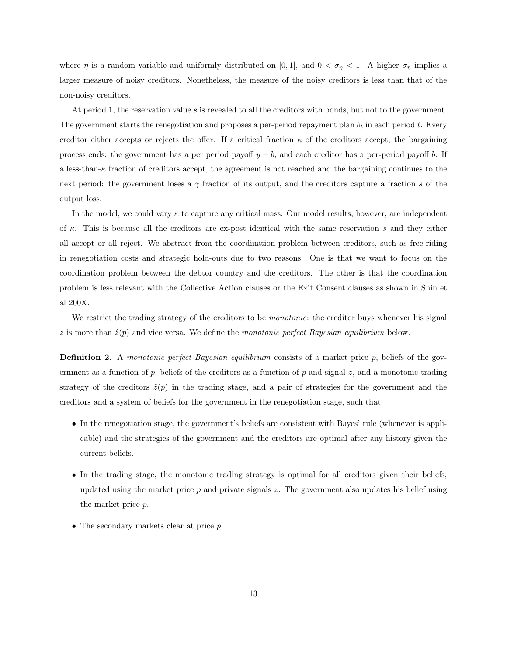where  $\eta$  is a random variable and uniformly distributed on [0,1], and  $0 < \sigma_{\eta} < 1$ . A higher  $\sigma_{\eta}$  implies a larger measure of noisy creditors. Nonetheless, the measure of the noisy creditors is less than that of the non-noisy creditors.

At period 1, the reservation value s is revealed to all the creditors with bonds, but not to the government. The government starts the renegotiation and proposes a per-period repayment plan  $b_t$  in each period t. Every creditor either accepts or rejects the offer. If a critical fraction  $\kappa$  of the creditors accept, the bargaining process ends: the government has a per period payoff  $y - b$ , and each creditor has a per-period payoff b. If a less-than- $\kappa$  fraction of creditors accept, the agreement is not reached and the bargaining continues to the next period: the government loses a  $\gamma$  fraction of its output, and the creditors capture a fraction s of the output loss.

In the model, we could vary  $\kappa$  to capture any critical mass. Our model results, however, are independent of  $\kappa$ . This is because all the creditors are ex-post identical with the same reservation s and they either all accept or all reject. We abstract from the coordination problem between creditors, such as free-riding in renegotiation costs and strategic hold-outs due to two reasons. One is that we want to focus on the coordination problem between the debtor country and the creditors. The other is that the coordination problem is less relevant with the Collective Action clauses or the Exit Consent clauses as shown in Shin et al 200X.

We restrict the trading strategy of the creditors to be *monotonic*: the creditor buys whenever his signal  $z$  is more than  $\hat{z}(p)$  and vice versa. We define the monotonic perfect Bayesian equilibrium below.

**Definition 2.** A monotonic perfect Bayesian equilibrium consists of a market price  $p$ , beliefs of the government as a function of  $p$ , beliefs of the creditors as a function of  $p$  and signal  $z$ , and a monotonic trading strategy of the creditors  $\hat{z}(p)$  in the trading stage, and a pair of strategies for the government and the creditors and a system of beliefs for the government in the renegotiation stage, such that

- In the renegotiation stage, the government's beliefs are consistent with Bayes' rule (whenever is applicable) and the strategies of the government and the creditors are optimal after any history given the current beliefs.
- In the trading stage, the monotonic trading strategy is optimal for all creditors given their beliefs, updated using the market price  $p$  and private signals  $z$ . The government also updates his belief using the market price p.
- The secondary markets clear at price p.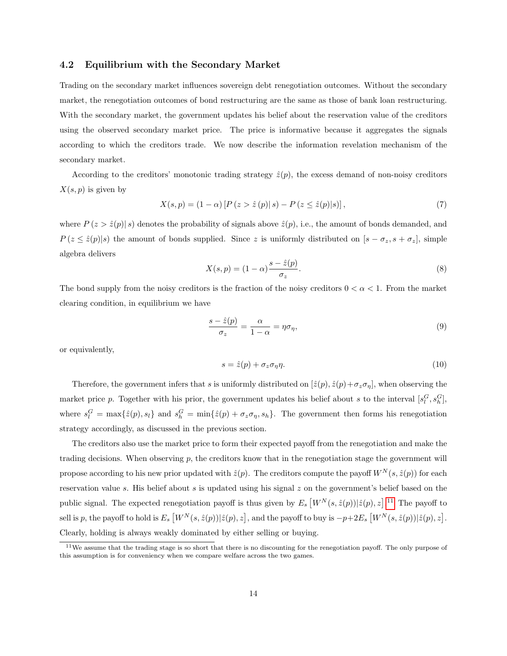#### 4.2 Equilibrium with the Secondary Market

Trading on the secondary market influences sovereign debt renegotiation outcomes. Without the secondary market, the renegotiation outcomes of bond restructuring are the same as those of bank loan restructuring. With the secondary market, the government updates his belief about the reservation value of the creditors using the observed secondary market price. The price is informative because it aggregates the signals according to which the creditors trade. We now describe the information revelation mechanism of the secondary market.

According to the creditors' monotonic trading strategy  $\hat{z}(p)$ , the excess demand of non-noisy creditors  $X(s, p)$  is given by

$$
X(s,p) = (1 - \alpha) [P(z > \hat{z}(p)|s) - P(z \leq \hat{z}(p)|s)],
$$
\n(7)

where  $P(z > \hat{z}(p) | s)$  denotes the probability of signals above  $\hat{z}(p)$ , i.e., the amount of bonds demanded, and  $P(z \leq \hat{z}(p)|s)$  the amount of bonds supplied. Since z is uniformly distributed on  $[s - \sigma_z, s + \sigma_z]$ , simple algebra delivers

$$
X(s,p) = (1 - \alpha) \frac{s - \hat{z}(p)}{\sigma_z}.
$$
\n
$$
(8)
$$

The bond supply from the noisy creditors is the fraction of the noisy creditors  $0 < \alpha < 1$ . From the market clearing condition, in equilibrium we have

$$
\frac{s-\hat{z}(p)}{\sigma_z} = \frac{\alpha}{1-\alpha} = \eta \sigma_\eta,\tag{9}
$$

or equivalently,

<span id="page-15-1"></span>
$$
s = \hat{z}(p) + \sigma_z \sigma_\eta \eta. \tag{10}
$$

Therefore, the government infers that s is uniformly distributed on  $[\hat{z}(p), \hat{z}(p) + \sigma_z \sigma_{\eta}]$ , when observing the market price p. Together with his prior, the government updates his belief about s to the interval  $[s_l^G, s_h^G]$ , where  $s_l^G = \max\{\hat{z}(p), s_l\}$  and  $s_h^G = \min\{\hat{z}(p) + \sigma_z\sigma_{\eta}, s_h\}$ . The government then forms his renegotiation strategy accordingly, as discussed in the previous section.

The creditors also use the market price to form their expected payoff from the renegotiation and make the trading decisions. When observing  $p$ , the creditors know that in the renegotiation stage the government will propose according to his new prior updated with  $\hat{z}(p)$ . The creditors compute the payoff  $W^N(s, \hat{z}(p))$  for each reservation value s. His belief about s is updated using his signal z on the government's belief based on the public signal. The expected renegotiation payoff is thus given by  $E_s [W^N(s, \hat{z}(p))] \hat{z}(p), z]$ .<sup>[11](#page-15-0)</sup> The payoff to sell is p, the payoff to hold is  $E_s\left[W^N(s,\hat{z}(p))|\hat{z}(p),z\right]$ , and the payoff to buy is  $-p+2E_s\left[W^N(s,\hat{z}(p))|\hat{z}(p),z\right]$ . Clearly, holding is always weakly dominated by either selling or buying.

<span id="page-15-0"></span><sup>&</sup>lt;sup>11</sup>We assume that the trading stage is so short that there is no discounting for the renegotiation payoff. The only purpose of this assumption is for conveniency when we compare welfare across the two games.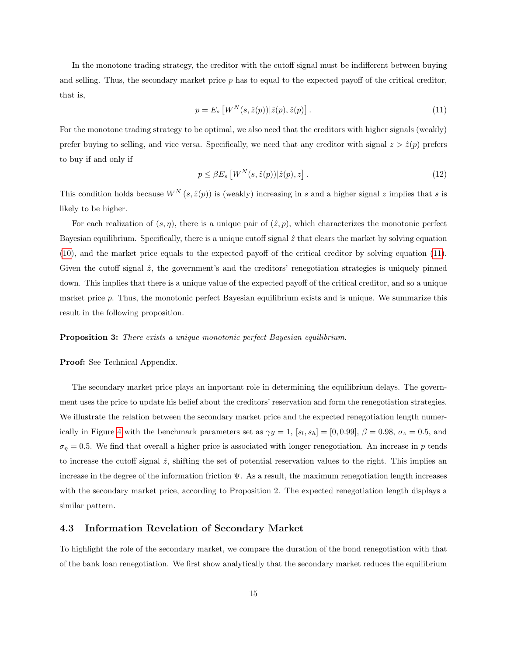In the monotone trading strategy, the creditor with the cutoff signal must be indifferent between buying and selling. Thus, the secondary market price  $p$  has to equal to the expected payoff of the critical creditor, that is,

<span id="page-16-0"></span>
$$
p = E_s \left[ W^N(s, \hat{z}(p)) | \hat{z}(p), \hat{z}(p) \right]. \tag{11}
$$

For the monotone trading strategy to be optimal, we also need that the creditors with higher signals (weakly) prefer buying to selling, and vice versa. Specifically, we need that any creditor with signal  $z > \hat{z}(p)$  prefers to buy if and only if

$$
p \le \beta E_s \left[ W^N(s, \hat{z}(p)) | \hat{z}(p), z \right]. \tag{12}
$$

This condition holds because  $W^N(s, \hat{z}(p))$  is (weakly) increasing in s and a higher signal z implies that s is likely to be higher.

For each realization of  $(s, \eta)$ , there is a unique pair of  $(\hat{z}, p)$ , which characterizes the monotonic perfect Bayesian equilibrium. Specifically, there is a unique cutoff signal  $\hat{z}$  that clears the market by solving equation [\(10\)](#page-15-1), and the market price equals to the expected payoff of the critical creditor by solving equation [\(11\)](#page-16-0). Given the cutoff signal  $\hat{z}$ , the government's and the creditors' renegotiation strategies is uniquely pinned down. This implies that there is a unique value of the expected payoff of the critical creditor, and so a unique market price p. Thus, the monotonic perfect Bayesian equilibrium exists and is unique. We summarize this result in the following proposition.

#### **Proposition 3:** There exists a unique monotonic perfect Bayesian equilibrium.

#### Proof: See Technical Appendix.

The secondary market price plays an important role in determining the equilibrium delays. The government uses the price to update his belief about the creditors' reservation and form the renegotiation strategies. We illustrate the relation between the secondary market price and the expected renegotiation length numer-ically in Figure [4](#page-17-0) with the benchmark parameters set as  $\gamma y = 1$ ,  $[s_l, s_h] = [0, 0.99]$ ,  $\beta = 0.98$ ,  $\sigma_z = 0.5$ , and  $\sigma_{\eta} = 0.5$ . We find that overall a higher price is associated with longer renegotiation. An increase in p tends to increase the cutoff signal  $\hat{z}$ , shifting the set of potential reservation values to the right. This implies an increase in the degree of the information friction  $\Psi$ . As a result, the maximum renegotiation length increases with the secondary market price, according to Proposition 2. The expected renegotiation length displays a similar pattern.

### 4.3 Information Revelation of Secondary Market

To highlight the role of the secondary market, we compare the duration of the bond renegotiation with that of the bank loan renegotiation. We first show analytically that the secondary market reduces the equilibrium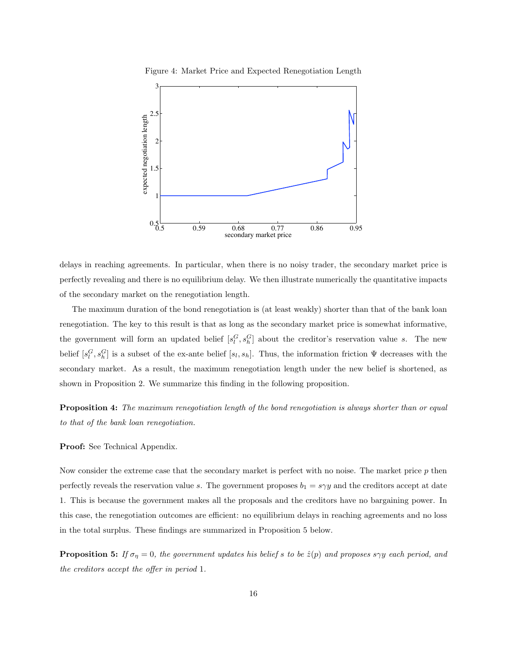

<span id="page-17-0"></span>Figure 4: Market Price and Expected Renegotiation Length

delays in reaching agreements. In particular, when there is no noisy trader, the secondary market price is perfectly revealing and there is no equilibrium delay. We then illustrate numerically the quantitative impacts of the secondary market on the renegotiation length.

The maximum duration of the bond renegotiation is (at least weakly) shorter than that of the bank loan renegotiation. The key to this result is that as long as the secondary market price is somewhat informative, the government will form an updated belief  $[s_l^G, s_h^G]$  about the creditor's reservation value s. The new belief  $[s_l^G, s_h^G]$  is a subset of the ex-ante belief  $[s_l, s_h]$ . Thus, the information friction  $\Psi$  decreases with the secondary market. As a result, the maximum renegotiation length under the new belief is shortened, as shown in Proposition 2. We summarize this finding in the following proposition.

Proposition 4: The maximum renegotiation length of the bond renegotiation is always shorter than or equal to that of the bank loan renegotiation.

#### Proof: See Technical Appendix.

Now consider the extreme case that the secondary market is perfect with no noise. The market price  $p$  then perfectly reveals the reservation value s. The government proposes  $b_1 = s \gamma y$  and the creditors accept at date 1. This is because the government makes all the proposals and the creditors have no bargaining power. In this case, the renegotiation outcomes are efficient: no equilibrium delays in reaching agreements and no loss in the total surplus. These findings are summarized in Proposition 5 below.

**Proposition 5:** If  $\sigma_{\eta} = 0$ , the government updates his belief s to be  $\hat{z}(p)$  and proposes s $\gamma y$  each period, and the creditors accept the offer in period 1.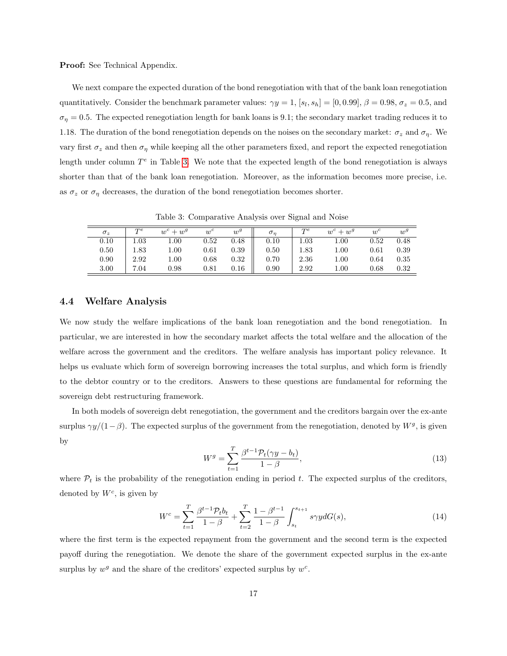#### Proof: See Technical Appendix.

We next compare the expected duration of the bond renegotiation with that of the bank loan renegotiation quantitatively. Consider the benchmark parameter values:  $\gamma y = 1$ ,  $[s_l, s_h] = [0, 0.99], \beta = 0.98, \sigma_z = 0.5$ , and  $\sigma_{\eta} = 0.5$ . The expected renegotiation length for bank loans is 9.1; the secondary market trading reduces it to 1.18. The duration of the bond renegotiation depends on the noises on the secondary market:  $\sigma_z$  and  $\sigma_\eta$ . We vary first  $\sigma_z$  and then  $\sigma_n$  while keeping all the other parameters fixed, and report the expected renegotiation length under column  $T<sup>e</sup>$  in Table [3.](#page-18-0) We note that the expected length of the bond renegotiation is always shorter than that of the bank loan renegotiation. Moreover, as the information becomes more precise, i.e. as  $\sigma_z$  or  $\sigma_\eta$  decreases, the duration of the bond renegotiation becomes shorter.

<span id="page-18-0"></span>Table 3: Comparative Analysis over Signal and Noise

| $\sigma_z$ | $T^e$    | $w^c + w^g$ | $w^c$ | $w^g$    | $\sigma_n$ | $T^e$    | $w^c + w^g$ | $w^c$ | $w^g$ |
|------------|----------|-------------|-------|----------|------------|----------|-------------|-------|-------|
| 0.10       | $1.03\,$ | $1.00\,$    | 0.52  | 0.48     | 0.10       | $1.03\,$ | $1.00\,$    | 0.52  | 0.48  |
| 0.50       | 1.83     | $1.00\,$    | 0.61  | 0.39     | 0.50       | $1.83\,$ | $1.00\,$    | 0.61  | 0.39  |
| 0.90       | 2.92     | 1.00        | 0.68  | 0.32     | 0.70       | 2.36     | $1.00\,$    | 0.64  | 0.35  |
| 3.00       | 7.04     | 0.98        | 0.81  | $0.16\,$ | 0.90       | 2.92     | $1.00\,$    | 0.68  | 0.32  |

### 4.4 Welfare Analysis

We now study the welfare implications of the bank loan renegotiation and the bond renegotiation. In particular, we are interested in how the secondary market affects the total welfare and the allocation of the welfare across the government and the creditors. The welfare analysis has important policy relevance. It helps us evaluate which form of sovereign borrowing increases the total surplus, and which form is friendly to the debtor country or to the creditors. Answers to these questions are fundamental for reforming the sovereign debt restructuring framework.

In both models of sovereign debt renegotiation, the government and the creditors bargain over the ex-ante surplus  $\gamma y/(1-\beta)$ . The expected surplus of the government from the renegotiation, denoted by  $W^g$ , is given by

$$
W^g = \sum_{t=1}^T \frac{\beta^{t-1} \mathcal{P}_t(\gamma y - b_t)}{1 - \beta},\tag{13}
$$

where  $P_t$  is the probability of the renegotiation ending in period t. The expected surplus of the creditors, denoted by  $W^c$ , is given by

$$
W^{c} = \sum_{t=1}^{T} \frac{\beta^{t-1} \mathcal{P}_{t} b_{t}}{1-\beta} + \sum_{t=2}^{T} \frac{1-\beta^{t-1}}{1-\beta} \int_{s_{t}}^{s_{t+1}} s\gamma y dG(s), \tag{14}
$$

where the first term is the expected repayment from the government and the second term is the expected payoff during the renegotiation. We denote the share of the government expected surplus in the ex-ante surplus by  $w^g$  and the share of the creditors' expected surplus by  $w^c$ .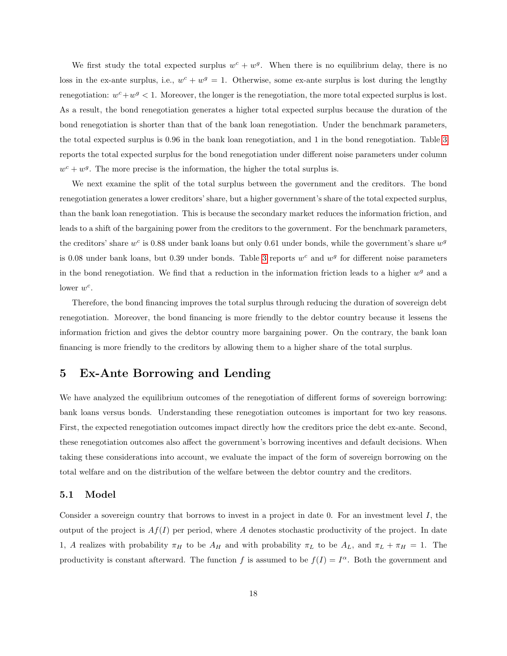We first study the total expected surplus  $w^c + w^g$ . When there is no equilibrium delay, there is no loss in the ex-ante surplus, i.e.,  $w^c + w^g = 1$ . Otherwise, some ex-ante surplus is lost during the lengthy renegotiation:  $w^c + w^g < 1$ . Moreover, the longer is the renegotiation, the more total expected surplus is lost. As a result, the bond renegotiation generates a higher total expected surplus because the duration of the bond renegotiation is shorter than that of the bank loan renegotiation. Under the benchmark parameters, the total expected surplus is 0.96 in the bank loan renegotiation, and 1 in the bond renegotiation. Table [3](#page-18-0) reports the total expected surplus for the bond renegotiation under different noise parameters under column  $w^c + w^g$ . The more precise is the information, the higher the total surplus is.

We next examine the split of the total surplus between the government and the creditors. The bond renegotiation generates a lower creditors' share, but a higher government's share of the total expected surplus, than the bank loan renegotiation. This is because the secondary market reduces the information friction, and leads to a shift of the bargaining power from the creditors to the government. For the benchmark parameters, the creditors' share  $w^c$  is 0.88 under bank loans but only 0.61 under bonds, while the government's share  $w^g$ is 0.08 under bank loans, but 0.39 under bonds. Table [3](#page-18-0) reports  $w^c$  and  $w^g$  for different noise parameters in the bond renegotiation. We find that a reduction in the information friction leads to a higher  $w<sup>g</sup>$  and a lower  $w^c$ .

Therefore, the bond financing improves the total surplus through reducing the duration of sovereign debt renegotiation. Moreover, the bond financing is more friendly to the debtor country because it lessens the information friction and gives the debtor country more bargaining power. On the contrary, the bank loan financing is more friendly to the creditors by allowing them to a higher share of the total surplus.

## 5 Ex-Ante Borrowing and Lending

We have analyzed the equilibrium outcomes of the renegotiation of different forms of sovereign borrowing: bank loans versus bonds. Understanding these renegotiation outcomes is important for two key reasons. First, the expected renegotiation outcomes impact directly how the creditors price the debt ex-ante. Second, these renegotiation outcomes also affect the government's borrowing incentives and default decisions. When taking these considerations into account, we evaluate the impact of the form of sovereign borrowing on the total welfare and on the distribution of the welfare between the debtor country and the creditors.

#### 5.1 Model

Consider a sovereign country that borrows to invest in a project in date 0. For an investment level I, the output of the project is  $Af(I)$  per period, where A denotes stochastic productivity of the project. In date 1, A realizes with probability  $\pi_H$  to be  $A_H$  and with probability  $\pi_L$  to be  $A_L$ , and  $\pi_L + \pi_H = 1$ . The productivity is constant afterward. The function f is assumed to be  $f(I) = I^{\alpha}$ . Both the government and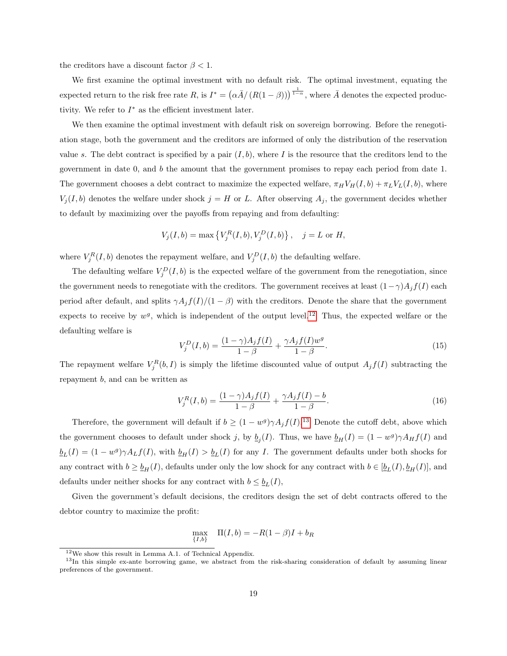the creditors have a discount factor  $\beta < 1$ .

We first examine the optimal investment with no default risk. The optimal investment, equating the expected return to the risk free rate R, is  $I^* = (\alpha \bar{A}/(R(1-\beta)))^{\frac{1}{1-\alpha}}$ , where  $\bar{A}$  denotes the expected productivity. We refer to  $I^*$  as the efficient investment later.

We then examine the optimal investment with default risk on sovereign borrowing. Before the renegotiation stage, both the government and the creditors are informed of only the distribution of the reservation value s. The debt contract is specified by a pair  $(I, b)$ , where I is the resource that the creditors lend to the government in date 0, and b the amount that the government promises to repay each period from date 1. The government chooses a debt contract to maximize the expected welfare,  $\pi_H V_H(I, b) + \pi_L V_L(I, b)$ , where  $V_j(I, b)$  denotes the welfare under shock  $j = H$  or L. After observing  $A_j$ , the government decides whether to default by maximizing over the payoffs from repaying and from defaulting:

$$
V_j(I, b) = \max \{ V_j^R(I, b), V_j^D(I, b) \}, \quad j = L \text{ or } H,
$$

where  $V_j^R(I, b)$  denotes the repayment welfare, and  $V_j^D(I, b)$  the defaulting welfare.

The defaulting welfare  $V_j^D(I, b)$  is the expected welfare of the government from the renegotiation, since the government needs to renegotiate with the creditors. The government receives at least  $(1 - \gamma)A_j f(I)$  each period after default, and splits  $\gamma A_j f(I)/(1 - \beta)$  with the creditors. Denote the share that the government expects to receive by  $w^g$ , which is independent of the output level.<sup>[12](#page-20-0)</sup> Thus, the expected welfare or the defaulting welfare is

$$
V_j^D(I, b) = \frac{(1 - \gamma)A_j f(I)}{1 - \beta} + \frac{\gamma A_j f(I) w^g}{1 - \beta}.
$$
\n(15)

The repayment welfare  $V_j^R(b,I)$  is simply the lifetime discounted value of output  $A_jf(I)$  subtracting the repayment b, and can be written as

$$
V_j^R(I,b) = \frac{(1-\gamma)A_j f(I)}{1-\beta} + \frac{\gamma A_j f(I) - b}{1-\beta}.
$$
\n(16)

Therefore, the government will default if  $b \geq (1 - w^g) \gamma A_j f(I)$ .<sup>[13](#page-20-1)</sup> Denote the cutoff debt, above which the government chooses to default under shock j, by  $\underline{b}_j(I)$ . Thus, we have  $\underline{b}_H(I) = (1 - w^g)\gamma A_H f(I)$  and  $\underline{b}_L(I) = (1 - w^g)\gamma A_L f(I)$ , with  $\underline{b}_H(I) > \underline{b}_L(I)$  for any I. The government defaults under both shocks for any contract with  $b \geq b_H(I)$ , defaults under only the low shock for any contract with  $b \in [\underline{b}_L(I), \underline{b}_H(I)]$ , and defaults under neither shocks for any contract with  $b \leq \underline{b}_L(I)$ ,

Given the government's default decisions, the creditors design the set of debt contracts offered to the debtor country to maximize the profit:

$$
\max_{\{I,b\}} \quad \Pi(I,b) = -R(1-\beta)I + b_R
$$

<span id="page-20-1"></span><span id="page-20-0"></span><sup>12</sup>We show this result in Lemma A.1. of Technical Appendix.

<sup>&</sup>lt;sup>13</sup>In this simple ex-ante borrowing game, we abstract from the risk-sharing consideration of default by assuming linear preferences of the government.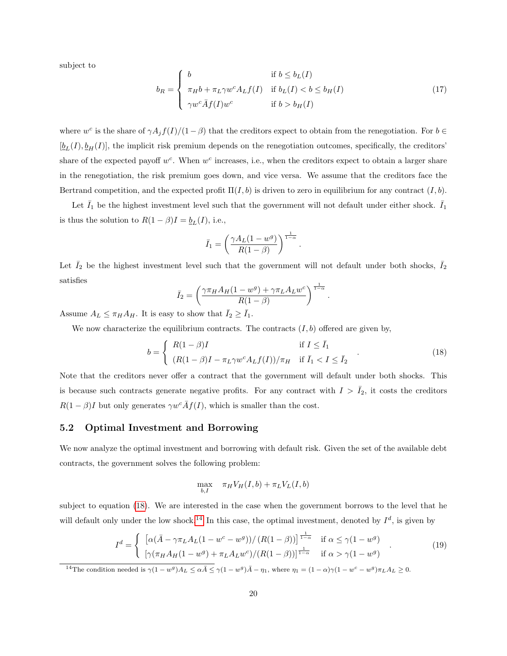subject to

$$
b_R = \begin{cases} b & \text{if } b \le b_L(I) \\ \pi_H b + \pi_L \gamma w^c A_L f(I) & \text{if } b_L(I) < b \le b_H(I) \\ \gamma w^c \bar{A} f(I) w^c & \text{if } b > b_H(I) \end{cases}
$$
(17)

where  $w^c$  is the share of  $\gamma A_j f(I)/(1-\beta)$  that the creditors expect to obtain from the renegotiation. For  $b \in$  $[\underline{b}_L(I), \underline{b}_H(I)]$ , the implicit risk premium depends on the renegotiation outcomes, specifically, the creditors' share of the expected payoff  $w^c$ . When  $w^c$  increases, i.e., when the creditors expect to obtain a larger share in the renegotiation, the risk premium goes down, and vice versa. We assume that the creditors face the Bertrand competition, and the expected profit  $\Pi(I, b)$  is driven to zero in equilibrium for any contract  $(I, b)$ .

Let  $I_1$  be the highest investment level such that the government will not default under either shock.  $I_1$ is thus the solution to  $R(1 - \beta)I = \underline{b}_L(I)$ , i.e.,

$$
\bar{I}_1 = \left(\frac{\gamma A_L (1 - w^g)}{R(1 - \beta)}\right)^{\frac{1}{1 - \alpha}}.
$$

Let  $\bar{I}_2$  be the highest investment level such that the government will not default under both shocks,  $\bar{I}_2$ satisfies

$$
\bar{I}_2 = \left(\frac{\gamma \pi_H A_H (1 - w^g) + \gamma \pi_L A_L w^c}{R(1 - \beta)}\right)^{\frac{1}{1 - \alpha}}.
$$

Assume  $A_L \leq \pi_H A_H$ . It is easy to show that  $I_2 \geq I_1$ .

We now characterize the equilibrium contracts. The contracts  $(I, b)$  offered are given by,

<span id="page-21-0"></span>
$$
b = \begin{cases} R(1-\beta)I & \text{if } I \leq \bar{I}_1 \\ (R(1-\beta)I - \pi_L \gamma w^c A_L f(I))/\pi_H & \text{if } \bar{I}_1 < I \leq \bar{I}_2 \end{cases} \tag{18}
$$

Note that the creditors never offer a contract that the government will default under both shocks. This is because such contracts generate negative profits. For any contract with  $I > I_2$ , it costs the creditors  $R(1 - \beta)I$  but only generates  $\gamma w^c \bar{A} f(I)$ , which is smaller than the cost.

#### 5.2 Optimal Investment and Borrowing

We now analyze the optimal investment and borrowing with default risk. Given the set of the available debt contracts, the government solves the following problem:

$$
\max_{b,I} \quad \pi_H V_H(I,b) + \pi_L V_L(I,b)
$$

subject to equation [\(18\)](#page-21-0). We are interested in the case when the government borrows to the level that he will default only under the low shock.<sup>[14](#page-21-1)</sup> In this case, the optimal investment, denoted by  $I^d$ , is given by

$$
I^d = \begin{cases} \left[ \alpha(\bar{A} - \gamma \pi_L A_L (1 - w^c - w^g)) / (R(1 - \beta)) \right]^{\frac{1}{1 - \alpha}} & \text{if } \alpha \le \gamma (1 - w^g) \\ \left[ \gamma(\pi_H A_H (1 - w^g) + \pi_L A_L w^c) / (R(1 - \beta)) \right]^{\frac{1}{1 - \alpha}} & \text{if } \alpha > \gamma (1 - w^g) \end{cases} \tag{19}
$$

<span id="page-21-1"></span><sup>14</sup>The condition needed is  $\gamma(1-w^g)A_L \leq \alpha \bar{A} \leq \gamma(1-w^g)\bar{A} - \eta_1$ , where  $\eta_1 = (1-\alpha)\gamma(1-w^c-w^g)\pi_L A_L \geq 0$ .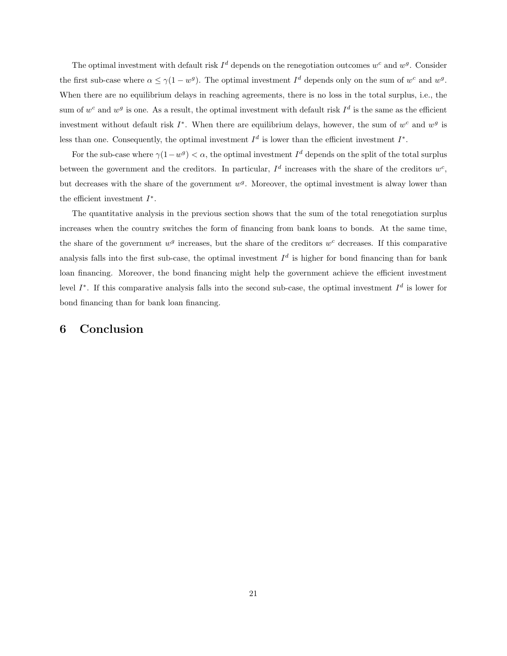The optimal investment with default risk  $I^d$  depends on the renegotiation outcomes  $w^c$  and  $w^g$ . Consider the first sub-case where  $\alpha \leq \gamma (1 - w^g)$ . The optimal investment  $I^d$  depends only on the sum of  $w^c$  and  $w^g$ . When there are no equilibrium delays in reaching agreements, there is no loss in the total surplus, i.e., the sum of  $w^c$  and  $w^g$  is one. As a result, the optimal investment with default risk  $I^d$  is the same as the efficient investment without default risk  $I^*$ . When there are equilibrium delays, however, the sum of  $w^c$  and  $w^g$  is less than one. Consequently, the optimal investment  $I^d$  is lower than the efficient investment  $I^*$ .

For the sub-case where  $\gamma(1-w^g) < \alpha$ , the optimal investment  $I^d$  depends on the split of the total surplus between the government and the creditors. In particular,  $I^d$  increases with the share of the creditors  $w^c$ , but decreases with the share of the government  $w<sup>g</sup>$ . Moreover, the optimal investment is alway lower than the efficient investment  $I^*$ .

The quantitative analysis in the previous section shows that the sum of the total renegotiation surplus increases when the country switches the form of financing from bank loans to bonds. At the same time, the share of the government  $w^g$  increases, but the share of the creditors  $w^c$  decreases. If this comparative analysis falls into the first sub-case, the optimal investment  $I^d$  is higher for bond financing than for bank loan financing. Moreover, the bond financing might help the government achieve the efficient investment level  $I^*$ . If this comparative analysis falls into the second sub-case, the optimal investment  $I^d$  is lower for bond financing than for bank loan financing.

# 6 Conclusion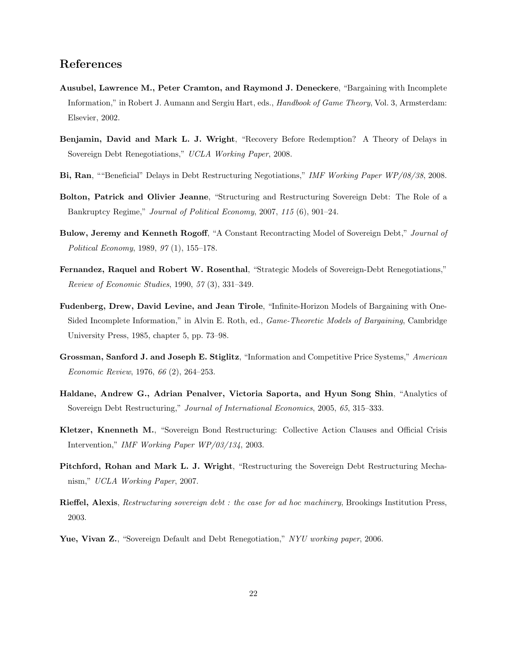# References

- <span id="page-23-12"></span>Ausubel, Lawrence M., Peter Cramton, and Raymond J. Deneckere, "Bargaining with Incomplete Information," in Robert J. Aumann and Sergiu Hart, eds., Handbook of Game Theory, Vol. 3, Armsterdam: Elsevier, 2002.
- <span id="page-23-6"></span>Benjamin, David and Mark L. J. Wright, "Recovery Before Redemption? A Theory of Delays in Sovereign Debt Renegotiations," UCLA Working Paper, 2008.
- <span id="page-23-7"></span>Bi, Ran, ""Beneficial" Delays in Debt Restructuring Negotiations," IMF Working Paper WP/08/38, 2008.
- <span id="page-23-10"></span>Bolton, Patrick and Olivier Jeanne, "Structuring and Restructuring Sovereign Debt: The Role of a Bankruptcy Regime," Journal of Political Economy, 2007, 115 (6), 901–24.
- <span id="page-23-2"></span>Bulow, Jeremy and Kenneth Rogoff, "A Constant Recontracting Model of Sovereign Debt," Journal of Political Economy, 1989, 97 (1), 155–178.
- <span id="page-23-3"></span>Fernandez, Raquel and Robert W. Rosenthal, "Strategic Models of Sovereign-Debt Renegotiations," Review of Economic Studies, 1990, 57 (3), 331–349.
- <span id="page-23-0"></span>Fudenberg, Drew, David Levine, and Jean Tirole, "Infinite-Horizon Models of Bargaining with One-Sided Incomplete Information," in Alvin E. Roth, ed., *Game-Theoretic Models of Bargaining*, Cambridge University Press, 1985, chapter 5, pp. 73–98.
- <span id="page-23-1"></span>Grossman, Sanford J. and Joseph E. Stiglitz, "Information and Competitive Price Systems," American Economic Review, 1976, 66 (2), 264–253.
- <span id="page-23-9"></span>Haldane, Andrew G., Adrian Penalver, Victoria Saporta, and Hyun Song Shin, "Analytics of Sovereign Debt Restructuring," Journal of International Economics, 2005, 65, 315–333.
- <span id="page-23-4"></span>Kletzer, Knenneth M., "Sovereign Bond Restructuring: Collective Action Clauses and Official Crisis Intervention," IMF Working Paper WP/03/134, 2003.
- <span id="page-23-8"></span>Pitchford, Rohan and Mark L. J. Wright, "Restructuring the Sovereign Debt Restructuring Mechanism," UCLA Working Paper, 2007.
- <span id="page-23-11"></span>Rieffel, Alexis, Restructuring sovereign debt : the case for ad hoc machinery, Brookings Institution Press, 2003.
- <span id="page-23-5"></span>Yue, Vivan Z., "Sovereign Default and Debt Renegotiation," NYU working paper, 2006.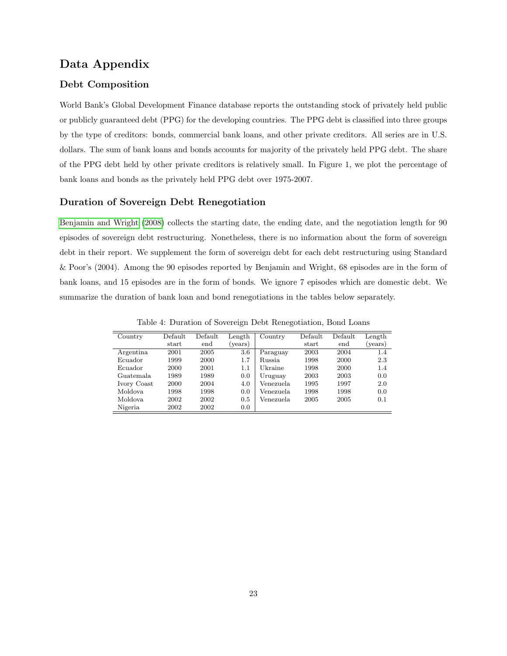## Data Appendix

## Debt Composition

World Bank's Global Development Finance database reports the outstanding stock of privately held public or publicly guaranteed debt (PPG) for the developing countries. The PPG debt is classified into three groups by the type of creditors: bonds, commercial bank loans, and other private creditors. All series are in U.S. dollars. The sum of bank loans and bonds accounts for majority of the privately held PPG debt. The share of the PPG debt held by other private creditors is relatively small. In Figure 1, we plot the percentage of bank loans and bonds as the privately held PPG debt over 1975-2007.

## Duration of Sovereign Debt Renegotiation

[Benjamin and Wright](#page-23-6) [\(2008\)](#page-23-6) collects the starting date, the ending date, and the negotiation length for 90 episodes of sovereign debt restructuring. Nonetheless, there is no information about the form of sovereign debt in their report. We supplement the form of sovereign debt for each debt restructuring using Standard & Poor's (2004). Among the 90 episodes reported by Benjamin and Wright, 68 episodes are in the form of bank loans, and 15 episodes are in the form of bonds. We ignore 7 episodes which are domestic debt. We summarize the duration of bank loan and bond renegotiations in the tables below separately.

| Country     | Default | Default | Length  | Country    | Default | Default | Length  |
|-------------|---------|---------|---------|------------|---------|---------|---------|
|             | start   | end     | (years) |            | start   | end     | (years) |
| Argentina   | 2001    | 2005    | 3.6     | Paraguay   | 2003    | 2004    | 1.4     |
| Ecuador     | 1999    | 2000    | $1.7\,$ | Russia.    | 1998    | 2000    | 2.3     |
| Ecuador     | 2000    | 2001    | $1.1\,$ | Ukraine    | 1998    | 2000    | 1.4     |
| Guatemala.  | 1989    | 1989    | 0.0     | Uruguay    | 2003    | 2003    | 0.0     |
| Ivory Coast | 2000    | 2004    | 4.0     | Venezuela  | 1995    | 1997    | 2.0     |
| Moldova     | 1998    | 1998    | 0.0     | Venezuela. | 1998    | 1998    | 0.0     |
| Moldova     | 2002    | 2002    | 0.5     | Venezuela. | 2005    | 2005    | 0.1     |
| Nigeria     | 2002    | 2002    | 0.0     |            |         |         |         |

Table 4: Duration of Sovereign Debt Renegotiation, Bond Loans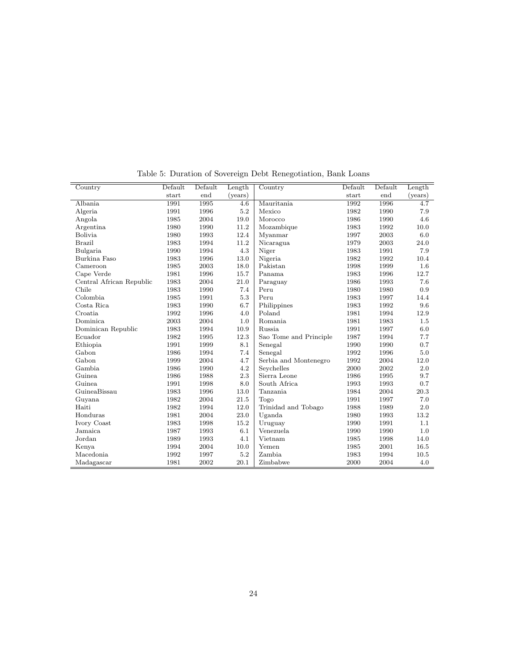| Country                  | Default | Default | Length  | Country                | Default | Default | Length  |
|--------------------------|---------|---------|---------|------------------------|---------|---------|---------|
|                          | start   | end     | (vears) |                        | start   | end     | (years) |
| Albania                  | 1991    | 1995    | 4.6     | Mauritania             | 1992    | 1996    | 4.7     |
| Algeria                  | 1991    | 1996    | 5.2     | Mexico                 | 1982    | 1990    | 7.9     |
| Angola                   | 1985    | 2004    | 19.0    | Morocco                | 1986    | 1990    | 4.6     |
| Argentina                | 1980    | 1990    | 11.2    | Mozambique             | 1983    | 1992    | 10.0    |
| Bolivia                  | 1980    | 1993    | 12.4    | Myanmar                | 1997    | 2003    | 6.0     |
| <b>Brazil</b>            | 1983    | 1994    | 11.2    | Nicaragua              | 1979    | 2003    | 24.0    |
| Bulgaria                 | 1990    | 1994    | 4.3     | Niger                  | 1983    | 1991    | 7.9     |
| Burkina Faso             | 1983    | 1996    | 13.0    | Nigeria                | 1982    | 1992    | 10.4    |
| Cameroon                 | 1985    | 2003    | 18.0    | Pakistan               | 1998    | 1999    | 1.6     |
| Cape Verde               | 1981    | 1996    | 15.7    | Panama                 | 1983    | 1996    | 12.7    |
| Central African Republic | 1983    | 2004    | 21.0    | Paraguay               | 1986    | 1993    | 7.6     |
| Chile                    | 1983    | 1990    | 7.4     | Peru                   | 1980    | 1980    | 0.9     |
| Colombia                 | 1985    | 1991    | 5.3     | Peru                   | 1983    | 1997    | 14.4    |
| Costa Rica               | 1983    | 1990    | 6.7     | Philippines            | 1983    | 1992    | 9.6     |
| Croatia                  | 1992    | 1996    | 4.0     | Poland                 | 1981    | 1994    | 12.9    |
| Dominica                 | 2003    | 2004    | 1.0     | Romania                | 1981    | 1983    | 1.5     |
| Dominican Republic       | 1983    | 1994    | 10.9    | Russia                 | 1991    | 1997    | 6.0     |
| Ecuador                  | 1982    | 1995    | 12.3    | Sao Tome and Principle | 1987    | 1994    | 7.7     |
| Ethiopia                 | 1991    | 1999    | 8.1     | Senegal                | 1990    | 1990    | 0.7     |
| Gabon                    | 1986    | 1994    | 7.4     | Senegal                | 1992    | 1996    | 5.0     |
| Gabon                    | 1999    | 2004    | 4.7     | Serbia and Montenegro  | 1992    | 2004    | 12.0    |
| Gambia                   | 1986    | 1990    | 4.2     | Seychelles             | 2000    | 2002    | 2.0     |
| Guinea                   | 1986    | 1988    | 2.3     | Sierra Leone           | 1986    | 1995    | 9.7     |
| Guinea                   | 1991    | 1998    | 8.0     | South Africa           | 1993    | 1993    | 0.7     |
| GuineaBissau             | 1983    | 1996    | 13.0    | Tanzania               | 1984    | 2004    | 20.3    |
| Guyana                   | 1982    | 2004    | 21.5    | Togo                   | 1991    | 1997    | 7.0     |
| Haiti                    | 1982    | 1994    | 12.0    | Trinidad and Tobago    | 1988    | 1989    | 2.0     |
| Honduras                 | 1981    | 2004    | 23.0    | Uganda                 | 1980    | 1993    | 13.2    |
| Ivory Coast              | 1983    | 1998    | 15.2    | Uruguay                | 1990    | 1991    | 1.1     |
| Jamaica                  | 1987    | 1993    | 6.1     | Venezuela              | 1990    | 1990    | 1.0     |
| Jordan                   | 1989    | 1993    | 4.1     | Vietnam                | 1985    | 1998    | 14.0    |
| Kenya                    | 1994    | 2004    | 10.0    | Yemen                  | 1985    | 2001    | 16.5    |
| Macedonia                | 1992    | 1997    | $5.2\,$ | Zambia                 | 1983    | 1994    | 10.5    |
| Madagascar               | 1981    | 2002    | 20.1    | Zimbabwe               | 2000    | 2004    | 4.0     |

<span id="page-25-0"></span>Table 5: Duration of Sovereign Debt Renegotiation, Bank Loans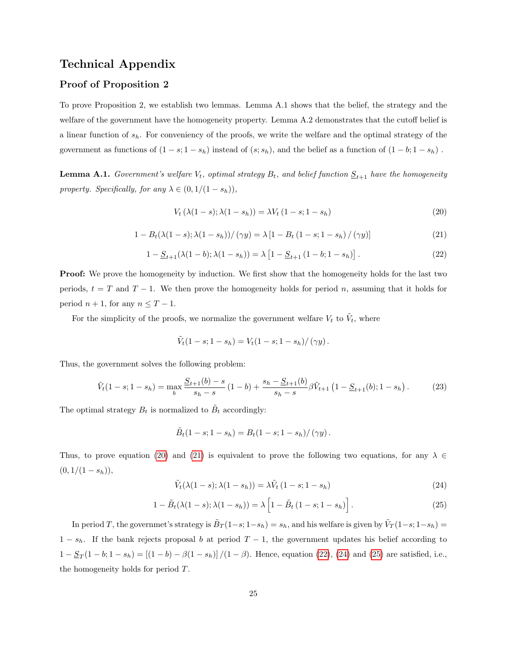## Technical Appendix

## Proof of Proposition 2

To prove Proposition 2, we establish two lemmas. Lemma A.1 shows that the belief, the strategy and the welfare of the government have the homogeneity property. Lemma A.2 demonstrates that the cutoff belief is a linear function of  $s_h$ . For conveniency of the proofs, we write the welfare and the optimal strategy of the government as functions of  $(1 - s; 1 - s_h)$  instead of  $(s; s_h)$ , and the belief as a function of  $(1 - b; 1 - s_h)$ .

**Lemma A.1.** Government's welfare  $V_t$ , optimal strategy  $B_t$ , and belief function  $S_{t+1}$  have the homogeneity property. Specifically, for any  $\lambda \in (0, 1/(1 - s_h)),$ 

<span id="page-26-0"></span>
$$
V_t (\lambda (1 - s); \lambda (1 - s_h)) = \lambda V_t (1 - s; 1 - s_h)
$$
\n(20)

<span id="page-26-1"></span>
$$
1 - B_t(\lambda(1 - s); \lambda(1 - s_h))/(\gamma y) = \lambda [1 - B_t(1 - s; 1 - s_h)/(\gamma y)] \tag{21}
$$

<span id="page-26-2"></span>
$$
1 - \underline{S}_{t+1}(\lambda(1-b); \lambda(1-s_h)) = \lambda \left[ 1 - \underline{S}_{t+1} (1-b; 1-s_h) \right]. \tag{22}
$$

**Proof:** We prove the homogeneity by induction. We first show that the homogeneity holds for the last two periods,  $t = T$  and  $T - 1$ . We then prove the homogeneity holds for period n, assuming that it holds for period  $n + 1$ , for any  $n \leq T - 1$ .

For the simplicity of the proofs, we normalize the government welfare  $V_t$  to  $\tilde{V}_t$ , where

$$
\tilde{V}_t(1-s; 1-s_h) = V_t(1-s; 1-s_h)/(\gamma y).
$$

Thus, the government solves the following problem:

$$
\tilde{V}_t(1-s;1-s_h) = \max_b \frac{S_{t+1}(b)-s}{s_h-s} \left(1-b\right) + \frac{s_h - S_{t+1}(b)}{s_h-s} \beta \tilde{V}_{t+1} \left(1 - S_{t+1}(b);1-s_h\right). \tag{23}
$$

The optimal strategy  $B_t$  is normalized to  $\tilde{B}_t$  accordingly:

$$
\tilde{B}_t(1-s; 1-s_h) = B_t(1-s; 1-s_h)/(\gamma y).
$$

Thus, to prove equation [\(20\)](#page-26-0) and [\(21\)](#page-26-1) is equivalent to prove the following two equations, for any  $\lambda \in$  $(0, 1/(1 - s_h)),$ 

<span id="page-26-3"></span>
$$
\tilde{V}_t(\lambda(1-s); \lambda(1-s_h)) = \lambda \tilde{V}_t(1-s; 1-s_h)
$$
\n(24)

<span id="page-26-4"></span>
$$
1 - \tilde{B}_t(\lambda(1 - s); \lambda(1 - s_h)) = \lambda \left[ 1 - \tilde{B}_t (1 - s; 1 - s_h) \right].
$$
 (25)

In period T, the governmet's strategy is  $\tilde{B}_T(1-s; 1-s_h) = s_h$ , and his welfare is given by  $\tilde{V}_T(1-s; 1-s_h) =$  $1 - s_h$ . If the bank rejects proposal b at period  $T - 1$ , the government updates his belief according to  $1 - \underline{S}_T(1 - b; 1 - s_h) = [(1 - b) - \beta(1 - s_h)]/(1 - \beta)$ . Hence, equation [\(22\)](#page-26-2), [\(24\)](#page-26-3) and [\(25\)](#page-26-4) are satisfied, i.e., the homogeneity holds for period T.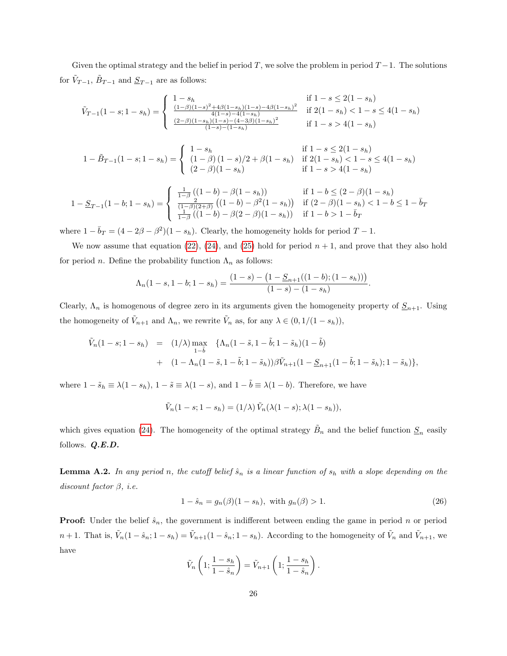Given the optimal strategy and the belief in period T, we solve the problem in period  $T-1$ . The solutions for  $\tilde{V}_{T-1}$ ,  $\tilde{B}_{T-1}$  and  $\underline{S}_{T-1}$  are as follows:

$$
\tilde{V}_{T-1}(1-s; 1-s_h) = \begin{cases}\n1-s_h & \text{if } 1-s \le 2(1-s_h) \\
\frac{(1-\beta)(1-s)^2 + 4\beta(1-s_h)(1-s) - 4\beta(1-s_h)^2}{4(1-s) - 4(1-s_h)} & \text{if } 2(1-s_h) < 1-s \le 4(1-s_h) \\
\frac{(2-\beta)(1-s_h)(1-s) - (4-3\beta)(1-s_h)^2}{(1-s) - (1-s_h)} & \text{if } 1-s > 4(1-s_h)\n\end{cases}
$$

$$
1 - \tilde{B}_{T-1}(1-s; 1-s_h) = \begin{cases} 1-s_h & \text{if } 1-s \le 2(1-s_h) \\ (1-\beta)(1-s)/2 + \beta(1-s_h) & \text{if } 2(1-s_h) < 1-s \le 4(1-s_h) \\ (2-\beta)(1-s_h) & \text{if } 1-s > 4(1-s_h) \end{cases}
$$

$$
1 - \underline{S}_{T-1}(1 - b; 1 - s_h) = \begin{cases} \frac{1}{1 - \beta} \left( (1 - b) - \beta (1 - s_h) \right) & \text{if } 1 - b \le (2 - \beta)(1 - s_h) \\ \frac{2}{(1 - \beta)(2 + \beta)} \left( (1 - b) - \beta^2 (1 - s_h) \right) & \text{if } (2 - \beta)(1 - s_h) < 1 - b \le 1 - \bar{b}_T \end{cases}
$$

where  $1 - \bar{b}_T = (4 - 2\beta - \beta^2)(1 - s_h)$ . Clearly, the homogeneity holds for period  $T - 1$ .

We now assume that equation [\(22\)](#page-26-2), [\(24\)](#page-26-3), and [\(25\)](#page-26-4) hold for period  $n + 1$ , and prove that they also hold for period *n*. Define the probability function  $\Lambda_n$  as follows:

$$
\Lambda_n(1-s,1-b;1-s_h) = \frac{(1-s) - (1 - \underline{S}_{n+1}((1-b);(1-s_h)))}{(1-s) - (1-s_h)}.
$$

Clearly,  $\Lambda_n$  is homogenous of degree zero in its arguments given the homogeneity property of  $S_{n+1}$ . Using the homogeneity of  $\tilde{V}_{n+1}$  and  $\Lambda_n$ , we rewrite  $\tilde{V}_n$  as, for any  $\lambda \in (0, 1/(1 - s_h)),$ 

$$
\tilde{V}_n(1-s; 1-s_h) = (1/\lambda) \max_{1-\tilde{b}} \{ \Lambda_n(1-\tilde{s}, 1-\tilde{b}; 1-\tilde{s}_h)(1-\tilde{b}) + (1-\Lambda_n(1-\tilde{s}, 1-\tilde{b}; 1-\tilde{s}_h))\beta \tilde{V}_{n+1}(1-\underline{S}_{n+1}(1-\tilde{b}; 1-\tilde{s}_h); 1-\tilde{s}_h) \},
$$

where  $1 - \tilde{s}_h \equiv \lambda(1 - s_h)$ ,  $1 - \tilde{s} \equiv \lambda(1 - s)$ , and  $1 - \tilde{b} \equiv \lambda(1 - b)$ . Therefore, we have

$$
\tilde{V}_n(1-s; 1-s_h) = (1/\lambda)\tilde{V}_n(\lambda(1-s); \lambda(1-s_h)),
$$

which gives equation [\(24\)](#page-26-3). The homogeneity of the optimal strategy  $\tilde{B}_n$  and the belief function  $\underline{S}_n$  easily follows. Q.E.D.

**Lemma A.2.** In any period n, the cutoff belief  $\hat{s}_n$  is a linear function of  $s_h$  with a slope depending on the discount factor  $\beta$ , i.e.

$$
1 - \hat{s}_n = g_n(\beta)(1 - s_h), \text{ with } g_n(\beta) > 1. \tag{26}
$$

**Proof:** Under the belief  $\hat{s}_n$ , the government is indifferent between ending the game in period n or period  $n+1$ . That is,  $\tilde{V}_n(1-\hat{s}_n; 1-s_h) = \tilde{V}_{n+1}(1-\hat{s}_n; 1-s_h)$ . According to the homogeneity of  $\tilde{V}_n$  and  $\tilde{V}_{n+1}$ , we have

$$
\tilde{V}_n\left(1; \frac{1-s_h}{1-\hat{s}_n}\right) = \tilde{V}_{n+1}\left(1; \frac{1-s_h}{1-\hat{s}_n}\right).
$$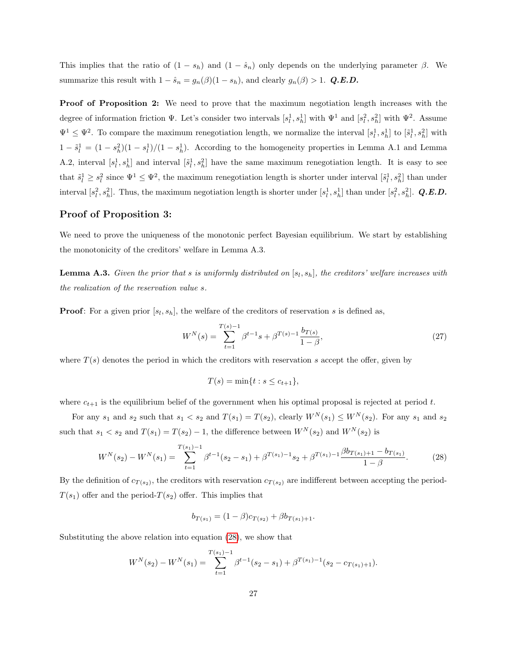This implies that the ratio of  $(1 - s_h)$  and  $(1 - \hat{s}_n)$  only depends on the underlying parameter  $\beta$ . We summarize this result with  $1 - \hat{s}_n = g_n(\beta)(1 - s_h)$ , and clearly  $g_n(\beta) > 1$ . Q.E.D.

Proof of Proposition 2: We need to prove that the maximum negotiation length increases with the degree of information friction  $\Psi$ . Let's consider two intervals  $[s_l^1, s_h^1]$  with  $\Psi^1$  and  $[s_l^2, s_h^2]$  with  $\Psi^2$ . Assume  $\Psi^1 \leq \Psi^2$ . To compare the maximum renegotiation length, we normalize the interval  $[s_l^1, s_h^1]$  to  $[\tilde{s}_l^1, s_h^2]$  with  $1 - \tilde{s}_l^1 = (1 - s_h^2)(1 - s_l^1)/(1 - s_h^1)$ . According to the homogeneity properties in Lemma A.1 and Lemma A.2, interval  $[s_l^1, s_h^1]$  and interval  $[\tilde{s}_l^1, s_h^2]$  have the same maximum renegotiation length. It is easy to see that  $\tilde{s}_l^1 \geq s_l^2$  since  $\Psi^1 \leq \Psi^2$ , the maximum renegotiation length is shorter under interval  $[\tilde{s}_l^1, s_h^2]$  than under interval  $[s_l^2, s_h^2]$ . Thus, the maximum negotiation length is shorter under  $[s_l^1, s_h^1]$  than under  $[s_l^2, s_h^2]$ . Q.E.D.

## Proof of Proposition 3:

We need to prove the uniqueness of the monotonic perfect Bayesian equilibrium. We start by establishing the monotonicity of the creditors' welfare in Lemma A.3.

**Lemma A.3.** Given the prior that s is uniformly distributed on  $[s_l, s_h]$ , the creditors' welfare increases with the realization of the reservation value s.

**Proof:** For a given prior  $[s_l, s_h]$ , the welfare of the creditors of reservation s is defined as,

$$
W^{N}(s) = \sum_{t=1}^{T(s)-1} \beta^{t-1} s + \beta^{T(s)-1} \frac{b_{T(s)}}{1-\beta},
$$
\n(27)

where  $T(s)$  denotes the period in which the creditors with reservation s accept the offer, given by

$$
T(s) = \min\{t : s \le c_{t+1}\},\
$$

where  $c_{t+1}$  is the equilibrium belief of the government when his optimal proposal is rejected at period t.

For any  $s_1$  and  $s_2$  such that  $s_1 < s_2$  and  $T(s_1) = T(s_2)$ , clearly  $W^N(s_1) \le W^N(s_2)$ . For any  $s_1$  and  $s_2$ such that  $s_1 < s_2$  and  $T(s_1) = T(s_2) - 1$ , the difference between  $W^N(s_2)$  and  $W^N(s_2)$  is

<span id="page-28-0"></span>
$$
W^{N}(s_2) - W^{N}(s_1) = \sum_{t=1}^{T(s_1)-1} \beta^{t-1}(s_2 - s_1) + \beta^{T(s_1)-1}s_2 + \beta^{T(s_1)-1}\frac{\beta b_{T(s_1)+1} - b_{T(s_1)}}{1 - \beta}.
$$
 (28)

By the definition of  $c_{T(s_2)}$ , the creditors with reservation  $c_{T(s_2)}$  are indifferent between accepting the period- $T(s_1)$  offer and the period- $T(s_2)$  offer. This implies that

$$
b_{T(s_1)} = (1 - \beta)c_{T(s_2)} + \beta b_{T(s_1) + 1}.
$$

Substituting the above relation into equation [\(28\)](#page-28-0), we show that

$$
W^{N}(s_2) - W^{N}(s_1) = \sum_{t=1}^{T(s_1)-1} \beta^{t-1}(s_2 - s_1) + \beta^{T(s_1)-1}(s_2 - c_{T(s_1)+1}).
$$